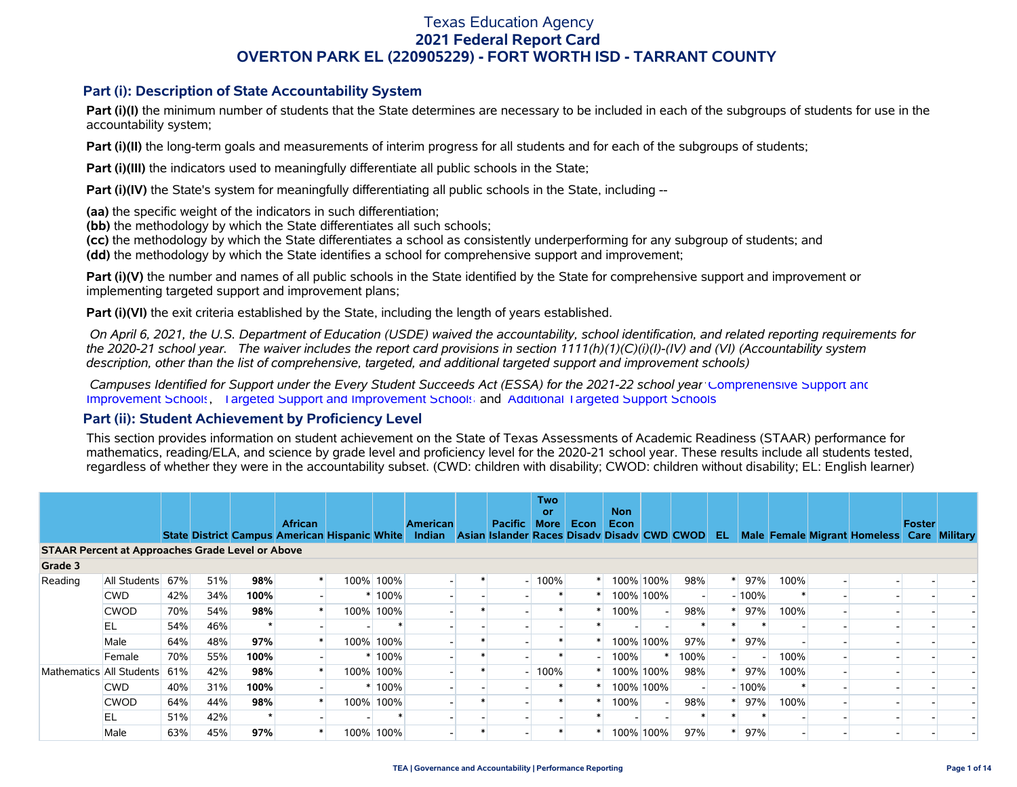### **Part (i): Description of State Accountability System**

Part (i)(I) the minimum number of students that the State determines are necessary to be included in each of the subgroups of students for use in the accountability system;

**Part (i)(II)** the long-term goals and measurements of interim progress for all students and for each of the subgroups of students;

**Part (i)(III)** the indicators used to meaningfully differentiate all public schools in the State;

**Part (i)(IV)** the State's system for meaningfully differentiating all public schools in the State, including --

**(aa)** the specific weight of the indicators in such differentiation;

**(bb)** the methodology by which the State differentiates all such schools;

**(cc)** the methodology by which the State differentiates a school as consistently underperforming for any subgroup of students; and

**(dd)** the methodology by which the State identifies a school for comprehensive support and improvement;

**Part (i)(V)** the number and names of all public schools in the State identified by the State for comprehensive support and improvement or implementing targeted support and improvement plans;

**Part (i)(VI)** the exit criteria established by the State, including the length of years established.

 *On April 6, 2021, the U.S. Department of Education (USDE) waived the accountability, school identification, and related reporting requirements for the 2020-21 school year. The waiver includes the report card provisions in section 1111(h)(1)(C)(i)(I)-(IV) and (VI) (Accountability system description, other than the list of comprehensive, targeted, and additional targeted support and improvement schools)* 

 *Campuses Identified for Support under the Every Student Succeeds Act (ESSA) for the 2021-22 school year:* [Comprehensive Support and](https://tea.texas.gov/sites/default/files/comprehensive_support_2021.xlsx) [Improvement Schools](https://tea.texas.gov/sites/default/files/comprehensive_support_2021.xlsx), [Targeted Support and Improvement Schools](https://tea.texas.gov/sites/default/files/targeted_support_2021.xlsx) and [Additional Targeted Support Schools.](https://tea.texas.gov/sites/default/files/additional_targeted_support_2021.xlsx)

### **Part (ii): Student Achievement by Proficiency Level**

This section provides information on student achievement on the State of Texas Assessments of Academic Readiness (STAAR) performance for mathematics, reading/ELA, and science by grade level and proficiency level for the 2020-21 school year. These results include all students tested, regardless of whether they were in the accountability subset. (CWD: children with disability; CWOD: children without disability; EL: English learner)

|                                                         |                  |     |     |      | <b>African</b>                                       |           | <b>American</b> | <b>Pacific</b>                              | <b>Two</b><br>or<br><b>More</b> | Econ | <b>Non</b><br><b>Econ</b> |           |      |    |          |      |                                            | Foster |  |
|---------------------------------------------------------|------------------|-----|-----|------|------------------------------------------------------|-----------|-----------------|---------------------------------------------|---------------------------------|------|---------------------------|-----------|------|----|----------|------|--------------------------------------------|--------|--|
|                                                         |                  |     |     |      | <b>State District Campus American Hispanic White</b> |           | Indian          | Asian Islander Races Disady Disady CWD CWOD |                                 |      |                           |           |      | EL |          |      | Male Female Migrant Homeless Care Military |        |  |
| <b>STAAR Percent at Approaches Grade Level or Above</b> |                  |     |     |      |                                                      |           |                 |                                             |                                 |      |                           |           |      |    |          |      |                                            |        |  |
| Grade 3                                                 |                  |     |     |      |                                                      |           |                 |                                             |                                 |      |                           |           |      |    |          |      |                                            |        |  |
| Reading                                                 | All Students 67% |     | 51% | 98%  | $\ast$                                               | 100% 100% |                 |                                             | $-100%$                         |      |                           | 100% 100% | 98%  |    | 97%      | 100% |                                            |        |  |
|                                                         | <b>CWD</b>       | 42% | 34% | 100% |                                                      | 100%      |                 |                                             |                                 |      |                           | 100% 100% |      |    | $-100%$  |      |                                            |        |  |
|                                                         | <b>CWOD</b>      | 70% | 54% | 98%  |                                                      | 100% 100% |                 |                                             |                                 |      | 100%                      |           | 98%  |    | 97%      | 100% |                                            |        |  |
|                                                         | EL               | 54% | 46% |      |                                                      |           |                 |                                             |                                 |      |                           |           |      |    |          |      |                                            |        |  |
|                                                         | Male             | 64% | 48% | 97%  |                                                      | 100% 100% |                 |                                             |                                 |      |                           | 100% 100% | 97%  |    | 97%      |      |                                            |        |  |
|                                                         | Female           | 70% | 55% | 100% |                                                      | 100%      |                 |                                             |                                 |      | 100%                      |           | 100% |    |          | 100% |                                            |        |  |
| Mathematics All Students                                |                  | 61% | 42% | 98%  | $\ast$                                               | 100% 100% |                 |                                             | 100%                            |      |                           | 100% 100% | 98%  |    | 97%      | 100% |                                            |        |  |
|                                                         | <b>CWD</b>       | 40% | 31% | 100% |                                                      | 100%      |                 |                                             |                                 |      |                           | 100% 100% |      |    | $-100\%$ |      |                                            |        |  |
|                                                         | <b>CWOD</b>      | 64% | 44% | 98%  |                                                      | 100% 100% |                 |                                             |                                 |      | 100%                      |           | 98%  |    | 97%      | 100% |                                            |        |  |
|                                                         | EL               | 51% | 42% |      |                                                      |           |                 |                                             |                                 |      |                           |           |      |    |          |      |                                            |        |  |
|                                                         | Male             | 63% | 45% | 97%  |                                                      | 100% 100% |                 |                                             |                                 |      |                           | 100% 100% | 97%  |    | 97%      |      |                                            |        |  |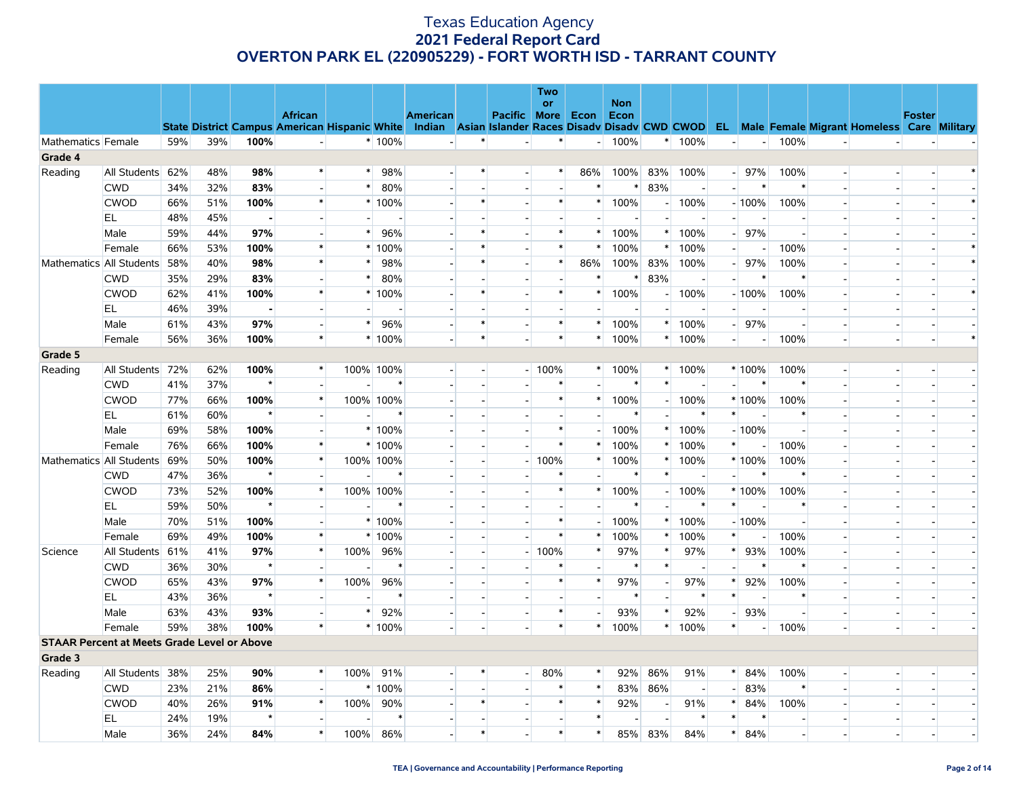|                    |                                                    |     |     |                |                                                                                                  |        |           |                 |        |                          | <b>Two</b><br><b>or</b>  |                          | <b>Non</b> |                          |          |                          |                          |        |                          |                                                      |               |  |
|--------------------|----------------------------------------------------|-----|-----|----------------|--------------------------------------------------------------------------------------------------|--------|-----------|-----------------|--------|--------------------------|--------------------------|--------------------------|------------|--------------------------|----------|--------------------------|--------------------------|--------|--------------------------|------------------------------------------------------|---------------|--|
|                    |                                                    |     |     |                | <b>African</b>                                                                                   |        |           | <b>American</b> |        | <b>Pacific More</b>      |                          | Econ                     | Econ       |                          |          |                          |                          |        |                          |                                                      | <b>Foster</b> |  |
| Mathematics Female |                                                    | 59% | 39% | 100%           | State District Campus American Hispanic White Indian Asian Islander Races Disadv Disadv CWD CWOD |        | * 100%    |                 | $\ast$ |                          | $\ast$                   |                          | $-100%$    |                          | * 100%   | $\overline{\phantom{a}}$ |                          | 100%   |                          | <b>EL</b> Male Female Migrant Homeless Care Military |               |  |
| Grade 4            |                                                    |     |     |                |                                                                                                  |        |           |                 |        |                          |                          |                          |            |                          |          |                          |                          |        |                          |                                                      |               |  |
| Reading            | All Students 62%                                   |     | 48% | 98%            | $\ast$                                                                                           | $\ast$ | 98%       |                 | $\ast$ |                          | $\ast$                   | 86%                      | 100%       | 83%                      | 100%     |                          | $-$ 97%                  | 100%   | $\blacksquare$           |                                                      |               |  |
|                    | <b>CWD</b>                                         | 34% | 32% | 83%            | $\overline{\phantom{a}}$                                                                         | $\ast$ | 80%       |                 |        | $\sim$                   | $\overline{a}$           | $\ast$                   | ∗          | 83%                      |          |                          | ∗                        |        |                          | $\overline{a}$                                       |               |  |
|                    | <b>CWOD</b>                                        | 66% | 51% | 100%           | $\ast$                                                                                           |        | * 100%    |                 | $\ast$ |                          | $\ast$                   | $\ast$                   | 100%       | $-1$                     | 100%     |                          | $-100%$                  | 100%   |                          |                                                      |               |  |
|                    | EL                                                 | 48% | 45% | $\blacksquare$ | $\overline{\phantom{a}}$                                                                         |        |           |                 |        |                          | $\sim$                   |                          |            |                          |          |                          |                          |        |                          |                                                      |               |  |
|                    | Male                                               | 59% | 44% | 97%            | $\overline{\phantom{a}}$                                                                         | $\ast$ | 96%       |                 |        |                          | $\ast$                   | $\ast$                   | 100%       |                          | $*$ 100% |                          | 97%                      |        |                          |                                                      |               |  |
|                    | Female                                             | 66% | 53% | 100%           | $\ast$                                                                                           |        | * 100%    |                 |        |                          | $\ast$                   | $\ast$                   | 100%       | $\ast$                   | 100%     | $\overline{a}$           |                          | 100%   |                          |                                                      |               |  |
|                    | Mathematics All Students                           | 58% | 40% | 98%            | $\ast$                                                                                           | $\ast$ | 98%       |                 | $\ast$ |                          | $\ast$                   | 86%                      | 100%       | 83%                      | 100%     |                          | 97%                      | 100%   |                          |                                                      |               |  |
|                    | <b>CWD</b>                                         | 35% | 29% | 83%            | $\overline{\phantom{a}}$                                                                         | $\ast$ | 80%       |                 |        |                          | $\overline{a}$           | $\ast$                   | $\ast$     | 83%                      |          |                          | $\ast$                   | $\ast$ |                          |                                                      |               |  |
|                    | <b>CWOD</b>                                        | 62% | 41% | 100%           | $\ast$                                                                                           |        | $*100%$   |                 | $\ast$ | $\overline{\phantom{a}}$ | $\ast$                   | $\ast$                   | 100%       | $\blacksquare$           | 100%     |                          | $-100%$                  | 100%   |                          |                                                      |               |  |
|                    | EL                                                 | 46% | 39% | $\blacksquare$ | $\overline{\phantom{a}}$                                                                         |        |           |                 |        |                          | $\overline{a}$           |                          |            |                          |          |                          |                          |        |                          |                                                      |               |  |
|                    | Male                                               | 61% | 43% | 97%            | $\overline{\phantom{a}}$                                                                         | $\ast$ | 96%       |                 |        | $\blacksquare$           | $\ast$                   | $\ast$                   | 100%       | *                        | 100%     |                          | 97%                      |        | $\blacksquare$           | $\overline{\phantom{a}}$                             |               |  |
|                    | Female                                             | 56% | 36% | 100%           | $\ast$                                                                                           |        | * 100%    |                 | $\ast$ |                          | $\ast$                   | $\ast$                   | 100%       | $\ast$                   | 100%     |                          |                          | 100%   | $\sim$                   | $\overline{a}$                                       |               |  |
| Grade 5            |                                                    |     |     |                |                                                                                                  |        |           |                 |        |                          |                          |                          |            |                          |          |                          |                          |        |                          |                                                      |               |  |
| Reading            | All Students                                       | 72% | 62% | 100%           | $\ast$                                                                                           |        | 100% 100% |                 | $\sim$ |                          | $-100%$                  | $\ast$                   | 100%       | $\ast$                   | 100%     |                          | $*100%$                  | 100%   |                          | $\overline{a}$                                       |               |  |
|                    | <b>CWD</b>                                         | 41% | 37% | $\star$        | $\overline{\phantom{a}}$                                                                         |        | $\ast$    |                 |        |                          | $\ast$                   |                          | $\ast$     | $\ast$                   |          |                          | $\ast$                   | $\ast$ |                          |                                                      |               |  |
|                    | <b>CWOD</b>                                        | 77% | 66% | 100%           | $\ast$                                                                                           |        | 100% 100% |                 |        |                          | $\ast$                   | $\ast$                   | 100%       | $\sim$                   | 100%     |                          | * 100%                   | 100%   |                          | $\blacksquare$                                       |               |  |
|                    | EL                                                 | 61% | 60% | $\star$        | $\overline{\phantom{a}}$                                                                         |        | $\ast$    |                 |        |                          | $\overline{a}$           |                          | ∗          |                          | $\ast$   | $\ast$                   |                          | $\ast$ |                          |                                                      |               |  |
|                    | Male                                               | 69% | 58% | 100%           | $\overline{\phantom{a}}$                                                                         |        | * 100%    |                 |        |                          | $\ast$                   | $\blacksquare$           | 100%       | $\ast$                   | 100%     |                          | $-100%$                  |        |                          |                                                      |               |  |
|                    | Female                                             | 76% | 66% | 100%           | $\ast$                                                                                           |        | $*100%$   |                 |        |                          | $\ast$                   | $\ast$                   | 100%       | $\ast$                   | 100%     | $\ast$                   |                          | 100%   |                          |                                                      |               |  |
|                    | Mathematics All Students                           | 69% | 50% | 100%           | $\ast$                                                                                           |        | 100% 100% |                 |        | $\overline{a}$           | 100%                     | $\ast$                   | 100%       | $\ast$                   | 100%     |                          | * 100%                   | 100%   |                          |                                                      |               |  |
|                    | <b>CWD</b>                                         | 47% | 36% | $\star$        | $\overline{\phantom{a}}$                                                                         |        | $\ast$    |                 |        |                          | $\ast$                   |                          | $\ast$     | $\ast$                   |          | шI                       | $\ast$                   |        |                          |                                                      |               |  |
|                    | <b>CWOD</b>                                        | 73% | 52% | 100%           | $\ast$                                                                                           |        | 100% 100% |                 |        |                          | $\ast$                   | $\ast$                   | 100%       | $\overline{\phantom{a}}$ | 100%     |                          | $*100%$                  | 100%   |                          | $\overline{\phantom{a}}$                             |               |  |
|                    | EL.                                                | 59% | 50% | $\star$        | $\overline{\phantom{a}}$                                                                         |        | $\ast$    |                 |        |                          | $\overline{\phantom{a}}$ | $\overline{a}$           | $\ast$     |                          | $\ast$   | $\ast$                   | $\overline{\phantom{a}}$ | $\ast$ | $\overline{\phantom{a}}$ | $\sim$                                               |               |  |
|                    | Male                                               | 70% | 51% | 100%           | $\overline{\phantom{a}}$                                                                         |        | * 100%    |                 |        |                          | $\ast$                   | $\blacksquare$           | 100%       | $\ast$                   | 100%     |                          | $-100%$                  |        |                          |                                                      |               |  |
|                    | Female                                             | 69% | 49% | 100%           | $\ast$                                                                                           |        | $*100\%$  |                 |        |                          | $\ast$                   | $\ast$                   | 100%       | ∗                        | 100%     | $\ast$                   |                          | 100%   |                          |                                                      |               |  |
| Science            | All Students 61%                                   |     | 41% | 97%            | $\ast$                                                                                           | 100%   | 96%       |                 |        |                          | $-100%$                  | $\ast$                   | 97%        | $\ast$                   | 97%      | $\ast$                   | 93%                      | 100%   |                          |                                                      |               |  |
|                    | <b>CWD</b>                                         | 36% | 30% | $\star$        | $\overline{\phantom{a}}$                                                                         |        |           |                 |        |                          | $\ast$                   |                          | $\ast$     | $\ast$                   |          |                          |                          |        |                          |                                                      |               |  |
|                    | <b>CWOD</b>                                        | 65% | 43% | 97%            | $\ast$                                                                                           | 100%   | 96%       |                 |        |                          | $\ast$                   | $\ast$                   | 97%        |                          | 97%      | $\ast$                   | 92%                      | 100%   |                          |                                                      |               |  |
|                    | EL                                                 | 43% | 36% | $\star$        | $\overline{\phantom{a}}$                                                                         |        | $\ast$    |                 |        |                          | $\sim$                   | $\overline{\phantom{a}}$ |            |                          | $\ast$   | $\ast$                   |                          |        |                          |                                                      |               |  |
|                    | Male                                               | 63% | 43% | 93%            | $\overline{a}$                                                                                   | $\ast$ | 92%       |                 |        |                          | $\ast$                   | $\overline{a}$           | 93%        | $\ast$                   | 92%      |                          | 93%                      |        |                          | $\overline{a}$                                       |               |  |
|                    | Female                                             | 59% | 38% | 100%           | $\ast$                                                                                           |        | * 100%    |                 |        |                          | $\ast$                   | $\ast$                   | 100%       | $\ast$                   | 100%     | $\ast$                   |                          | 100%   | $\overline{\phantom{a}}$ | $\overline{\phantom{a}}$                             |               |  |
|                    | <b>STAAR Percent at Meets Grade Level or Above</b> |     |     |                |                                                                                                  |        |           |                 |        |                          |                          |                          |            |                          |          |                          |                          |        |                          |                                                      |               |  |
| Grade 3            |                                                    |     |     |                |                                                                                                  |        |           |                 |        |                          |                          |                          |            |                          |          |                          |                          |        |                          |                                                      |               |  |
| Reading            | All Students 38%                                   |     | 25% | 90%            | $\ast$                                                                                           | 100%   | 91%       |                 |        | $\overline{\phantom{a}}$ | 80%                      | $\ast$                   | 92%        | 86%                      | 91%      | $\ast$                   | 84%                      | 100%   | $\overline{\phantom{a}}$ |                                                      |               |  |
|                    | <b>CWD</b>                                         | 23% | 21% | 86%            | $\blacksquare$                                                                                   |        | * 100%    |                 |        |                          | $\ast$                   | $\ast$                   | 83%        | 86%                      |          | $\overline{a}$           | 83%                      | $\ast$ |                          |                                                      |               |  |
|                    | <b>CWOD</b>                                        | 40% | 26% | 91%            | $\ast$                                                                                           | 100%   | 90%       |                 |        |                          | $\ast$                   | $\ast$                   | 92%        |                          | 91%      | $\ast$                   | 84%                      | 100%   |                          |                                                      |               |  |
|                    | EL                                                 | 24% | 19% | $\star$        | $\overline{a}$                                                                                   |        |           |                 |        |                          | $\sim$                   | $\ast$                   |            |                          | $\ast$   | $\ast$                   |                          |        | $\sim$                   | $\sim$                                               |               |  |
|                    | Male                                               | 36% | 24% | 84%            | $\ast$                                                                                           | 100%   | 86%       |                 | $\ast$ |                          | $\ast$                   | $\ast$                   | 85%        | 83%                      | 84%      | $\ast$                   | 84%                      |        |                          | $\overline{\phantom{a}}$                             |               |  |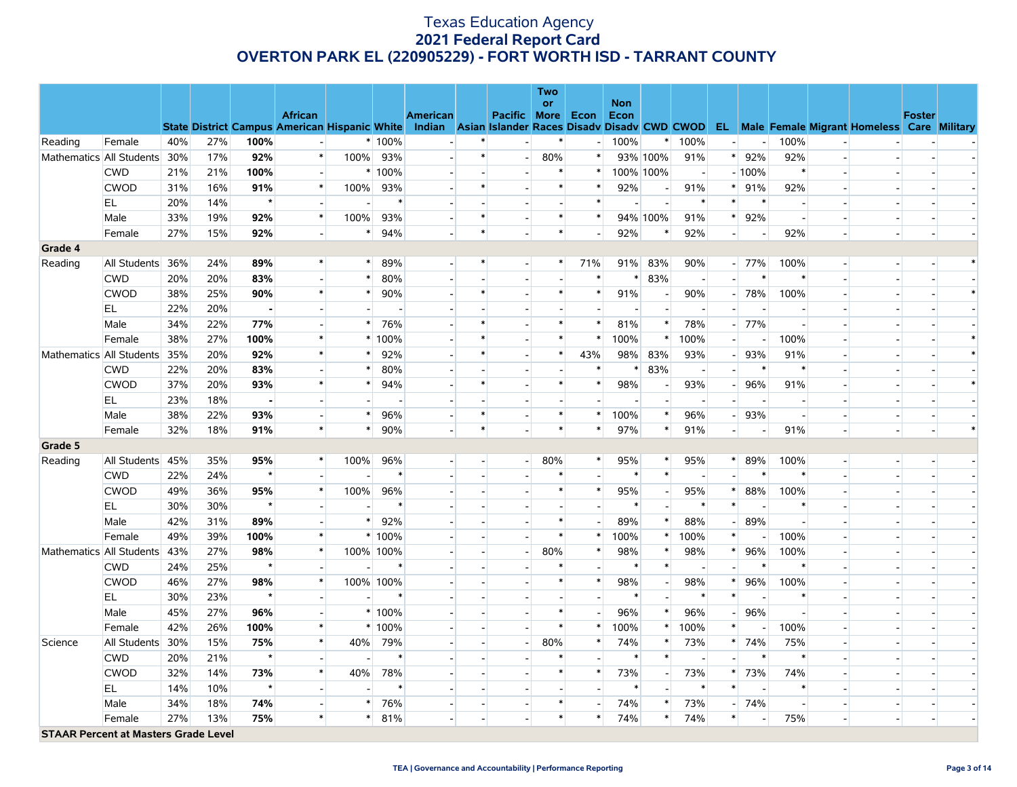|                                             |                          |     |     |                |                                                                                                  |        |           |                          |        |                          | <b>Two</b>               |                          |                    |           |                          |                          |         |        |                          |                                                      |               |  |
|---------------------------------------------|--------------------------|-----|-----|----------------|--------------------------------------------------------------------------------------------------|--------|-----------|--------------------------|--------|--------------------------|--------------------------|--------------------------|--------------------|-----------|--------------------------|--------------------------|---------|--------|--------------------------|------------------------------------------------------|---------------|--|
|                                             |                          |     |     |                | <b>African</b>                                                                                   |        |           | <b>American</b>          |        | Pacific More             | <b>or</b>                | Econ                     | <b>Non</b><br>Econ |           |                          |                          |         |        |                          |                                                      | <b>Foster</b> |  |
|                                             |                          |     |     |                | State District Campus American Hispanic White Indian Asian Islander Races Disady Disady CWD CWOD |        |           |                          |        |                          |                          |                          |                    |           |                          |                          |         |        |                          | <b>EL</b> Male Female Migrant Homeless Care Military |               |  |
| Reading                                     | Female                   | 40% | 27% | 100%           | $\blacksquare$                                                                                   |        | $*100%$   |                          | $\ast$ |                          | $\ast$                   | $\overline{a}$           | 100%               | $\ast$    | 100%                     | $\overline{a}$           |         | 100%   |                          |                                                      |               |  |
|                                             | Mathematics All Students | 30% | 17% | 92%            | $\ast$                                                                                           | 100%   | 93%       |                          | $\ast$ |                          | 80%                      | $\ast$                   |                    | 93% 100%  | 91%                      | $\ast$                   | 92%     | 92%    | $\overline{a}$           |                                                      |               |  |
|                                             | <b>CWD</b>               | 21% | 21% | 100%           | $\blacksquare$                                                                                   |        | * 100%    |                          |        |                          | $\ast$                   | $\ast$                   |                    | 100% 100% |                          |                          | $-100%$ | $\ast$ |                          |                                                      |               |  |
|                                             | <b>CWOD</b>              | 31% | 16% | 91%            | $\ast$                                                                                           | 100%   | 93%       |                          |        |                          | $\ast$                   | $\ast$                   | 92%                |           | 91%                      | $\ast$                   | 91%     | 92%    |                          |                                                      |               |  |
|                                             | EL                       | 20% | 14% | $\star$        | $\blacksquare$                                                                                   |        |           |                          |        |                          | $\blacksquare$           | $\ast$                   |                    |           |                          | $\ast$                   |         |        |                          |                                                      |               |  |
|                                             | Male                     | 33% | 19% | 92%            | $\ast$                                                                                           | 100%   | 93%       |                          | $\ast$ | $\overline{\phantom{a}}$ | $\ast$                   | $\ast$                   |                    | 94% 100%  | 91%                      | $\ast$                   | 92%     |        | $\overline{a}$           |                                                      |               |  |
|                                             | Female                   | 27% | 15% | 92%            | $\overline{a}$                                                                                   | *      | 94%       |                          | $\ast$ |                          | $\ast$                   | $\overline{\phantom{a}}$ | 92%                |           | 92%                      |                          |         | 92%    | $\overline{\phantom{a}}$ | $\overline{\phantom{a}}$                             |               |  |
| Grade 4                                     |                          |     |     |                |                                                                                                  |        |           |                          |        |                          |                          |                          |                    |           |                          |                          |         |        |                          |                                                      |               |  |
| Reading                                     | All Students             | 36% | 24% | 89%            | $\ast$                                                                                           | *      | 89%       |                          | $\ast$ | $\overline{\phantom{a}}$ | $\ast$                   | 71%                      | 91%                | 83%       | 90%                      |                          | $-$ 77% | 100%   | $\overline{\phantom{a}}$ |                                                      |               |  |
|                                             | <b>CWD</b>               | 20% | 20% | 83%            | $\overline{\phantom{a}}$                                                                         | $\ast$ | 80%       |                          |        | $\overline{\phantom{a}}$ | $\overline{\phantom{a}}$ | $\ast$                   | ∗                  | 83%       | $\overline{\phantom{a}}$ | $\overline{\phantom{a}}$ | ∗       | $\ast$ | $\overline{a}$           | $\overline{\phantom{a}}$                             |               |  |
|                                             | <b>CWOD</b>              | 38% | 25% | 90%            | $\ast$                                                                                           | $\ast$ | 90%       |                          | $\ast$ |                          | $\ast$                   | $\ast$                   | 91%                |           | 90%                      |                          | 78%     | 100%   |                          |                                                      |               |  |
|                                             | EL                       | 22% | 20% | $\blacksquare$ | $\blacksquare$                                                                                   |        |           |                          |        |                          | $\blacksquare$           |                          |                    |           |                          |                          |         |        | $\blacksquare$           |                                                      |               |  |
|                                             | Male                     | 34% | 22% | 77%            | $\overline{\phantom{a}}$                                                                         | $\ast$ | 76%       |                          |        |                          | $\ast$                   | $\ast$                   | 81%                |           | 78%                      | $\overline{\phantom{0}}$ | 77%     |        | $\overline{a}$           |                                                      |               |  |
|                                             | Female                   | 38% | 27% | 100%           | $\ast$                                                                                           |        | * 100%    |                          |        |                          | $\ast$                   | $\ast$                   | 100%               |           | 100%                     |                          |         | 100%   |                          |                                                      |               |  |
| Mathematics All Students                    |                          | 35% | 20% | 92%            | $\ast$                                                                                           | $\ast$ | 92%       |                          |        |                          | $\ast$                   | 43%                      | 98%                | 83%       | 93%                      |                          | 93%     | 91%    | $\sim$                   |                                                      |               |  |
|                                             | <b>CWD</b>               | 22% | 20% | 83%            | $\blacksquare$                                                                                   | *      | 80%       |                          |        |                          | $\overline{\phantom{a}}$ | $\ast$                   | $\ast$             | 83%       |                          |                          |         |        | $\overline{a}$           |                                                      |               |  |
|                                             | <b>CWOD</b>              | 37% | 20% | 93%            | $\ast$                                                                                           | $\ast$ | 94%       |                          | $\ast$ | $\overline{\phantom{a}}$ | $\ast$                   | $\ast$                   | 98%                |           | 93%                      |                          | 96%     | 91%    |                          | $\overline{a}$                                       |               |  |
|                                             | EL                       | 23% | 18% |                | $\overline{\phantom{a}}$                                                                         |        |           |                          |        |                          | $\overline{\phantom{a}}$ |                          |                    |           |                          |                          |         |        | $\overline{\phantom{a}}$ |                                                      |               |  |
|                                             | Male                     | 38% | 22% | 93%            | $\blacksquare$                                                                                   | $\ast$ | 96%       | $\overline{\phantom{a}}$ | $\ast$ | $\overline{\phantom{a}}$ | $\ast$                   | $\ast$                   | 100%               | $\ast$    | 96%                      | $\overline{a}$           | 93%     |        | $\blacksquare$           | $\blacksquare$                                       |               |  |
|                                             | Female                   | 32% | 18% | 91%            | $\ast$                                                                                           | $\ast$ | 90%       |                          | $\ast$ |                          | $\ast$                   | $\ast$                   | 97%                | $\ast$    | 91%                      |                          |         | 91%    | $\overline{\phantom{m}}$ |                                                      |               |  |
| Grade 5                                     |                          |     |     |                |                                                                                                  |        |           |                          |        |                          |                          |                          |                    |           |                          |                          |         |        |                          |                                                      |               |  |
| Reading                                     | All Students 45%         |     | 35% | 95%            | $\ast$                                                                                           | 100%   | 96%       |                          |        | $\overline{\phantom{a}}$ | 80%                      | $\ast$                   | 95%                | $\ast$    | 95%                      | $\ast$                   | 89%     | 100%   | $\overline{a}$           | $\overline{\phantom{a}}$                             |               |  |
|                                             | <b>CWD</b>               | 22% | 24% | $\star$        | $\overline{\phantom{a}}$                                                                         |        | ∗         |                          |        |                          | $\ast$                   |                          | $\ast$             | $\ast$    |                          |                          |         |        | $\blacksquare$           |                                                      |               |  |
|                                             | <b>CWOD</b>              | 49% | 36% | 95%            | $\ast$                                                                                           | 100%   | 96%       |                          |        |                          | $\ast$                   | $\ast$                   | 95%                |           | 95%                      | ∗                        | 88%     | 100%   |                          |                                                      |               |  |
|                                             | <b>EL</b>                | 30% | 30% |                | $\overline{a}$                                                                                   |        |           |                          |        |                          | $\overline{\phantom{a}}$ | $\overline{\phantom{a}}$ |                    |           |                          | $\ast$                   |         |        | $\overline{\phantom{a}}$ | $\overline{\phantom{a}}$                             |               |  |
|                                             | Male                     | 42% | 31% | 89%            | $\blacksquare$                                                                                   | $\ast$ | 92%       |                          |        |                          | $\ast$                   | $\overline{\phantom{0}}$ | 89%                | $\ast$    | 88%                      |                          | 89%     |        |                          |                                                      |               |  |
|                                             | Female                   | 49% | 39% | 100%           | $\ast$                                                                                           |        | * 100%    |                          |        | $\overline{\phantom{a}}$ | $\ast$                   | $\ast$                   | 100%               | $\ast$    | 100%                     | $\ast$                   |         | 100%   |                          |                                                      |               |  |
| Mathematics All Students                    |                          | 43% | 27% | 98%            | $\ast$                                                                                           |        | 100% 100% |                          |        | $\sim$                   | 80%                      | $\ast$                   | 98%                | $\ast$    | 98%                      | $\ast$                   | 96%     | 100%   | $\overline{a}$           |                                                      |               |  |
|                                             | <b>CWD</b>               | 24% | 25% | $\star$        | $\overline{a}$                                                                                   |        | $\ast$    |                          |        |                          | $\ast$                   |                          | $\ast$             |           |                          |                          | $\ast$  |        | $\overline{\phantom{a}}$ |                                                      |               |  |
|                                             | <b>CWOD</b>              | 46% | 27% | 98%            | $\ast$                                                                                           |        | 100% 100% |                          |        |                          | $\ast$                   | $\ast$                   | 98%                |           | 98%                      | $\ast$                   | 96%     | 100%   | $\overline{\phantom{a}}$ |                                                      |               |  |
|                                             | <b>EL</b>                | 30% | 23% | $\star$        | $\blacksquare$                                                                                   |        | $\ast$    |                          |        |                          |                          |                          | $\ast$             |           | $\ast$                   | $\ast$                   |         | $\ast$ |                          |                                                      |               |  |
|                                             | Male                     | 45% | 27% | 96%            | $\overline{\phantom{a}}$                                                                         |        | $*100%$   |                          |        | $\overline{\phantom{a}}$ | $\ast$                   | $\overline{\phantom{a}}$ | 96%                | $\ast$    | 96%                      |                          | 96%     |        | $\overline{a}$           |                                                      |               |  |
|                                             | Female                   | 42% | 26% | 100%           | $\ast$                                                                                           |        | * 100%    |                          |        |                          | $\ast$                   | $\ast$                   | 100%               |           | 100%                     | $\ast$                   |         | 100%   |                          |                                                      |               |  |
| Science                                     | All Students             | 30% | 15% | 75%            | $\ast$                                                                                           | 40%    | 79%       |                          |        | $\overline{\phantom{a}}$ | 80%                      | $\ast$                   | 74%                | $\ast$    | 73%                      | $\ast$                   | 74%     | 75%    | $\overline{\phantom{a}}$ |                                                      |               |  |
|                                             | <b>CWD</b>               | 20% | 21% | $\star$        | $\overline{\phantom{a}}$                                                                         |        | $\ast$    |                          |        |                          | $\ast$                   |                          | $\ast$             | $\ast$    |                          |                          | ∗       | $\ast$ |                          |                                                      |               |  |
|                                             | <b>CWOD</b>              | 32% | 14% | 73%            | $\ast$                                                                                           | 40%    | 78%       |                          |        |                          | $\ast$                   | $\ast$                   | 73%                |           | 73%                      | $\ast$                   | 73%     | 74%    | $\blacksquare$           |                                                      |               |  |
|                                             | EL                       | 14% | 10% | $\star$        | $\overline{\phantom{a}}$                                                                         |        | $\ast$    |                          |        |                          |                          | $\overline{a}$           | $\ast$             |           | $\ast$                   | $\ast$                   |         | $\ast$ | $\sim$                   |                                                      |               |  |
|                                             | Male                     | 34% | 18% | 74%            | $\overline{\phantom{a}}$                                                                         | $\ast$ | 76%       |                          |        |                          | $\ast$                   |                          | 74%                |           | 73%                      |                          | 74%     |        | $\overline{\phantom{a}}$ |                                                      |               |  |
|                                             | Female                   | 27% | 13% | 75%            | $\ast$                                                                                           | $\ast$ | 81%       | $\overline{a}$           |        |                          | $\ast$                   | $\ast$                   | 74%                | $\ast$    | 74%                      | $\ast$                   |         | 75%    | $\overline{a}$           | $\overline{a}$                                       |               |  |
| <b>STAAR Percent at Masters Grade Level</b> |                          |     |     |                |                                                                                                  |        |           |                          |        |                          |                          |                          |                    |           |                          |                          |         |        |                          |                                                      |               |  |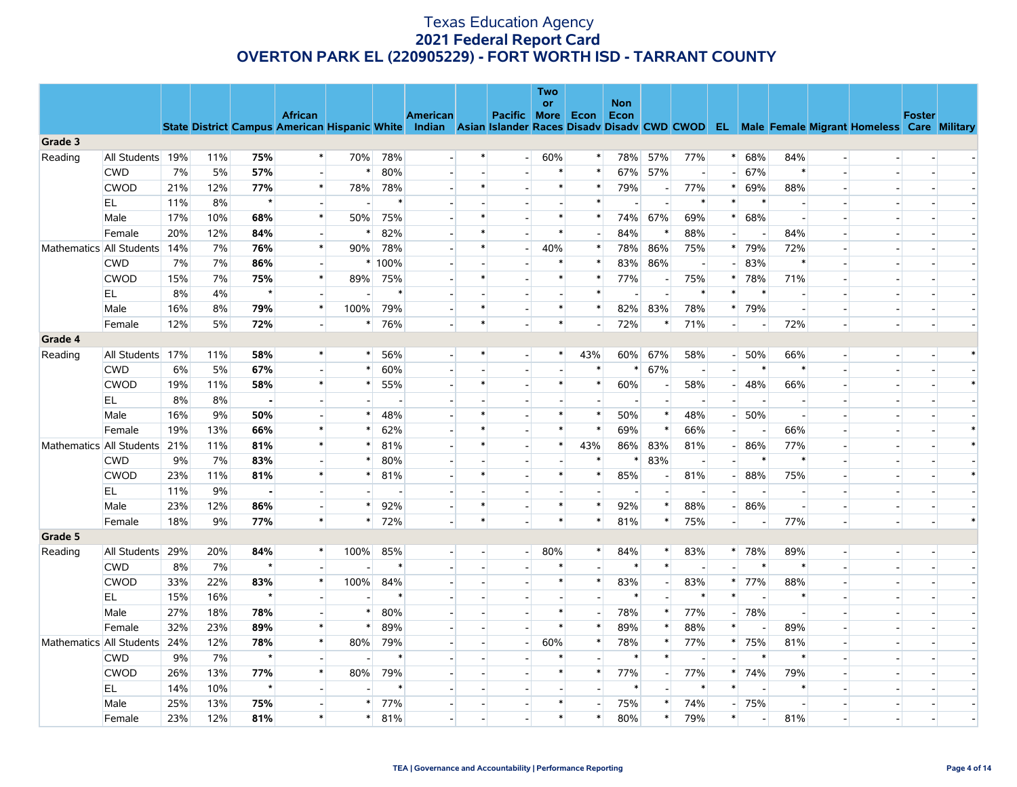|         |                          |     |     |                |                          |        |        |                          |        |                          | <b>Two</b><br><b>or</b> |                          | <b>Non</b> |        |        |                          |        |        |        |                                                                                                                                                |               |        |
|---------|--------------------------|-----|-----|----------------|--------------------------|--------|--------|--------------------------|--------|--------------------------|-------------------------|--------------------------|------------|--------|--------|--------------------------|--------|--------|--------|------------------------------------------------------------------------------------------------------------------------------------------------|---------------|--------|
|         |                          |     |     |                | <b>African</b>           |        |        | <b>American</b>          |        | Pacific More             |                         | Econ                     | Econ       |        |        |                          |        |        |        | State District Campus American Hispanic White Indian Asian Islander Races Disady Disady CWD CWOD EL Male Female Migrant Homeless Care Military | <b>Foster</b> |        |
| Grade 3 |                          |     |     |                |                          |        |        |                          |        |                          |                         |                          |            |        |        |                          |        |        |        |                                                                                                                                                |               |        |
| Reading | All Students             | 19% | 11% | 75%            | $\ast$                   | 70%    | 78%    |                          | $\ast$ | $\overline{\phantom{a}}$ | 60%                     | $\ast$                   | 78%        | 57%    | 77%    | $\ast$                   | 68%    | 84%    |        | $\overline{\phantom{a}}$                                                                                                                       |               |        |
|         | <b>CWD</b>               | 7%  | 5%  | 57%            | $\sim$                   | $\ast$ | 80%    |                          |        |                          | $\ast$                  | $\ast$                   | 67%        | 57%    |        | $\overline{\phantom{a}}$ | 67%    | $\ast$ |        | $\overline{\phantom{a}}$                                                                                                                       |               |        |
|         | <b>CWOD</b>              | 21% | 12% | 77%            | $\ast$                   | 78%    | 78%    |                          | $\ast$ |                          | $\ast$                  | $\ast$                   | 79%        |        | 77%    | ∗                        | 69%    | 88%    |        |                                                                                                                                                |               |        |
|         | EL.                      | 11% | 8%  | $\star$        | $\sim$                   |        | $\ast$ |                          |        |                          | $\sim$                  | $\ast$                   |            |        | $\ast$ | $\ast$                   | $\ast$ |        |        | $\overline{a}$                                                                                                                                 |               |        |
|         | Male                     | 17% | 10% | 68%            | $\ast$                   | 50%    | 75%    |                          | $\ast$ |                          | $\ast$                  | $\ast$                   | 74%        | 67%    | 69%    | $\ast$                   | 68%    |        |        |                                                                                                                                                |               |        |
|         | Female                   | 20% | 12% | 84%            | $\overline{a}$           | $\ast$ | 82%    |                          | $\ast$ |                          | $\ast$                  | $\overline{a}$           | 84%        |        | 88%    | $\overline{\phantom{a}}$ |        | 84%    |        | $\overline{\phantom{a}}$                                                                                                                       |               |        |
|         | Mathematics All Students | 14% | 7%  | 76%            | $\ast$                   | 90%    | 78%    |                          | $\ast$ | $\blacksquare$           | 40%                     | $\ast$                   | 78%        | 86%    | 75%    | $\ast$                   | 79%    | 72%    |        |                                                                                                                                                |               |        |
|         | <b>CWD</b>               | 7%  | 7%  | 86%            | $\sim$                   |        | * 100% |                          |        |                          | $\ast$                  | $\ast$                   | 83%        | 86%    |        |                          | 83%    | $\ast$ |        | $\sim$                                                                                                                                         |               |        |
|         | <b>CWOD</b>              | 15% | 7%  | 75%            | $\ast$                   | 89%    | 75%    |                          | $\ast$ |                          | $\ast$                  | $\ast$                   | 77%        |        | 75%    | $\ast$                   | 78%    | 71%    |        |                                                                                                                                                |               |        |
|         | EL                       | 8%  | 4%  | $\star$        | $\sim$                   |        |        |                          |        |                          | $\overline{a}$          | $\ast$                   |            |        |        | $\ast$                   | $\ast$ |        |        | $\overline{\phantom{a}}$                                                                                                                       |               |        |
|         | Male                     | 16% | 8%  | 79%            | $\ast$                   | 100%   | 79%    |                          | $\ast$ |                          | $\ast$                  | $\ast$                   | 82%        | 83%    | 78%    | $\ast$                   | 79%    |        |        | $\overline{\phantom{a}}$                                                                                                                       |               |        |
|         | Female                   | 12% | 5%  | 72%            | $\overline{\phantom{a}}$ | $\ast$ | 76%    | $\overline{a}$           | $\ast$ | $\overline{a}$           | $\ast$                  | $\overline{\phantom{a}}$ | 72%        | $\ast$ | 71%    | $\overline{a}$           |        | 72%    | $\sim$ | $\overline{\phantom{a}}$                                                                                                                       |               |        |
| Grade 4 |                          |     |     |                |                          |        |        |                          |        |                          |                         |                          |            |        |        |                          |        |        |        |                                                                                                                                                |               |        |
| Reading | All Students             | 17% | 11% | 58%            | $\ast$                   | $\ast$ | 56%    | $\blacksquare$           | $\ast$ |                          | $\ast$                  | 43%                      | 60%        | 67%    | 58%    | $\overline{a}$           | 50%    | 66%    | $\sim$ | $\blacksquare$                                                                                                                                 |               |        |
|         | <b>CWD</b>               | 6%  | 5%  | 67%            | $\overline{\phantom{a}}$ | $\ast$ | 60%    |                          |        |                          |                         | $\ast$                   | $\ast$     | 67%    |        |                          | ∗      | $\ast$ |        |                                                                                                                                                |               |        |
|         | <b>CWOD</b>              | 19% | 11% | 58%            | $\ast$                   | $\ast$ | 55%    |                          | $\ast$ |                          | $\ast$                  | $\ast$                   | 60%        |        | 58%    | $\overline{a}$           | 48%    | 66%    |        | $\overline{\phantom{a}}$                                                                                                                       |               | $\ast$ |
|         | EL.                      | 8%  | 8%  | $\blacksquare$ | $\overline{\phantom{a}}$ |        |        |                          |        |                          |                         | $\overline{a}$           |            |        |        |                          |        |        |        | $\overline{\phantom{a}}$                                                                                                                       |               |        |
|         | Male                     | 16% | 9%  | 50%            | $\overline{a}$           | $\ast$ | 48%    | $\overline{a}$           | $\ast$ |                          | $\ast$                  | $\ast$                   | 50%        | $\ast$ | 48%    | $\overline{\phantom{a}}$ | 50%    |        |        | $\sim$                                                                                                                                         |               |        |
|         | Female                   | 19% | 13% | 66%            | $\ast$                   | $\ast$ | 62%    |                          | $\ast$ |                          | $\ast$                  | $\ast$                   | 69%        |        | 66%    |                          |        | 66%    |        |                                                                                                                                                |               |        |
|         | Mathematics All Students | 21% | 11% | 81%            | $\ast$                   | $\ast$ | 81%    | $\overline{a}$           | $\ast$ |                          | $\ast$                  | 43%                      | 86%        | 83%    | 81%    | $\overline{\phantom{a}}$ | 86%    | 77%    |        | $\overline{\phantom{a}}$                                                                                                                       |               | $\ast$ |
|         | <b>CWD</b>               | 9%  | 7%  | 83%            | $\overline{\phantom{a}}$ |        | 80%    |                          |        |                          |                         | $\ast$                   | $\ast$     | 83%    |        |                          | $\ast$ | $\ast$ |        | $\overline{\phantom{a}}$                                                                                                                       |               |        |
|         | <b>CWOD</b>              | 23% | 11% | 81%            | $\ast$                   | $\ast$ | 81%    | $\overline{a}$           | $\ast$ |                          | $\ast$                  | $\ast$                   | 85%        |        | 81%    | $\sim$                   | 88%    | 75%    |        | $\overline{\phantom{a}}$                                                                                                                       |               | $\ast$ |
|         | EL                       | 11% | 9%  |                | $\overline{\phantom{a}}$ |        |        |                          |        |                          |                         |                          |            |        |        |                          |        |        |        |                                                                                                                                                |               |        |
|         | Male                     | 23% | 12% | 86%            | $\overline{\phantom{a}}$ | $\ast$ | 92%    | $\overline{a}$           | $\ast$ |                          | $\ast$                  | $\ast$                   | 92%        | $\ast$ | 88%    | $\sim$                   | 86%    |        |        | $\overline{\phantom{a}}$                                                                                                                       |               |        |
|         | Female                   | 18% | 9%  | 77%            | $\ast$                   | $\ast$ | 72%    | $\overline{\phantom{a}}$ | $\ast$ |                          | $\ast$                  | $\ast$                   | 81%        | $\ast$ | 75%    | $\overline{\phantom{a}}$ |        | 77%    |        | $\overline{\phantom{a}}$                                                                                                                       |               |        |
| Grade 5 |                          |     |     |                |                          |        |        |                          |        |                          |                         |                          |            |        |        |                          |        |        |        |                                                                                                                                                |               |        |
| Reading | All Students             | 29% | 20% | 84%            | $\ast$                   | 100%   | 85%    |                          |        | $\overline{\phantom{a}}$ | 80%                     | $\ast$                   | 84%        | $\ast$ | 83%    | $\ast$                   | 78%    | 89%    |        | $\overline{\phantom{a}}$                                                                                                                       |               |        |
|         | <b>CWD</b>               | 8%  | 7%  | $\star$        | $\overline{a}$           |        | $\ast$ | $\overline{a}$           |        |                          | $\ast$                  | $\overline{\phantom{a}}$ | $\ast$     | $\ast$ |        | $\overline{\phantom{a}}$ | $\ast$ | $\ast$ |        | $\overline{\phantom{a}}$                                                                                                                       |               |        |
|         | <b>CWOD</b>              | 33% | 22% | 83%            | $\ast$                   | 100%   | 84%    |                          |        |                          | $\ast$                  | $\ast$                   | 83%        |        | 83%    | $\ast$                   | 77%    | 88%    |        | $\overline{\phantom{a}}$                                                                                                                       |               |        |
|         | EL.                      | 15% | 16% | $\star$        | $\overline{\phantom{a}}$ |        |        |                          |        |                          | $\overline{a}$          | $\overline{a}$           | $\ast$     |        |        | $\ast$                   |        | $\ast$ |        | $\overline{\phantom{a}}$                                                                                                                       |               |        |
|         | Male                     | 27% | 18% | 78%            | $\overline{\phantom{a}}$ | $\ast$ | 80%    |                          |        |                          | $\ast$                  | $\overline{\phantom{a}}$ | 78%        |        | 77%    |                          | 78%    |        |        |                                                                                                                                                |               |        |
|         | Female                   | 32% | 23% | 89%            | $\ast$                   | $\ast$ | 89%    |                          |        |                          | $\ast$                  | $\ast$                   | 89%        | $\ast$ | 88%    | $\ast$                   |        | 89%    |        | $\overline{\phantom{a}}$                                                                                                                       |               |        |
|         | Mathematics All Students | 24% | 12% | 78%            | $\ast$                   | 80%    | 79%    |                          |        | $\blacksquare$           | 60%                     | $\ast$                   | 78%        |        | 77%    | $\ast$                   | 75%    | 81%    |        | $\overline{\phantom{a}}$                                                                                                                       |               |        |
|         | <b>CWD</b>               | 9%  | 7%  | $\star$        | $\overline{\phantom{a}}$ |        |        |                          |        |                          | $\ast$                  | $\overline{a}$           | $\ast$     | $\ast$ |        | ÷                        | $\ast$ | $\ast$ |        | $\overline{\phantom{a}}$                                                                                                                       |               |        |
|         | <b>CWOD</b>              | 26% | 13% | 77%            | $\ast$                   | 80%    | 79%    |                          |        |                          | $\ast$                  | $\ast$                   | 77%        |        | 77%    | $\ast$                   | 74%    | 79%    |        |                                                                                                                                                |               |        |
|         | EL                       | 14% | 10% | $\star$        | $\sim$                   |        |        |                          |        |                          |                         | $\overline{a}$           | $\ast$     |        | $\ast$ | $\ast$                   |        | $\ast$ |        |                                                                                                                                                |               |        |
|         | Male                     | 25% | 13% | 75%            |                          | $\ast$ | 77%    |                          |        |                          |                         | $\overline{\phantom{a}}$ | 75%        |        | 74%    | $\overline{\phantom{a}}$ | 75%    |        |        |                                                                                                                                                |               |        |
|         | Female                   | 23% | 12% | 81%            | $\ast$                   | $\ast$ | 81%    |                          |        |                          | $\ast$                  | $\ast$                   | 80%        | $\ast$ | 79%    | $\ast$                   |        | 81%    |        |                                                                                                                                                |               |        |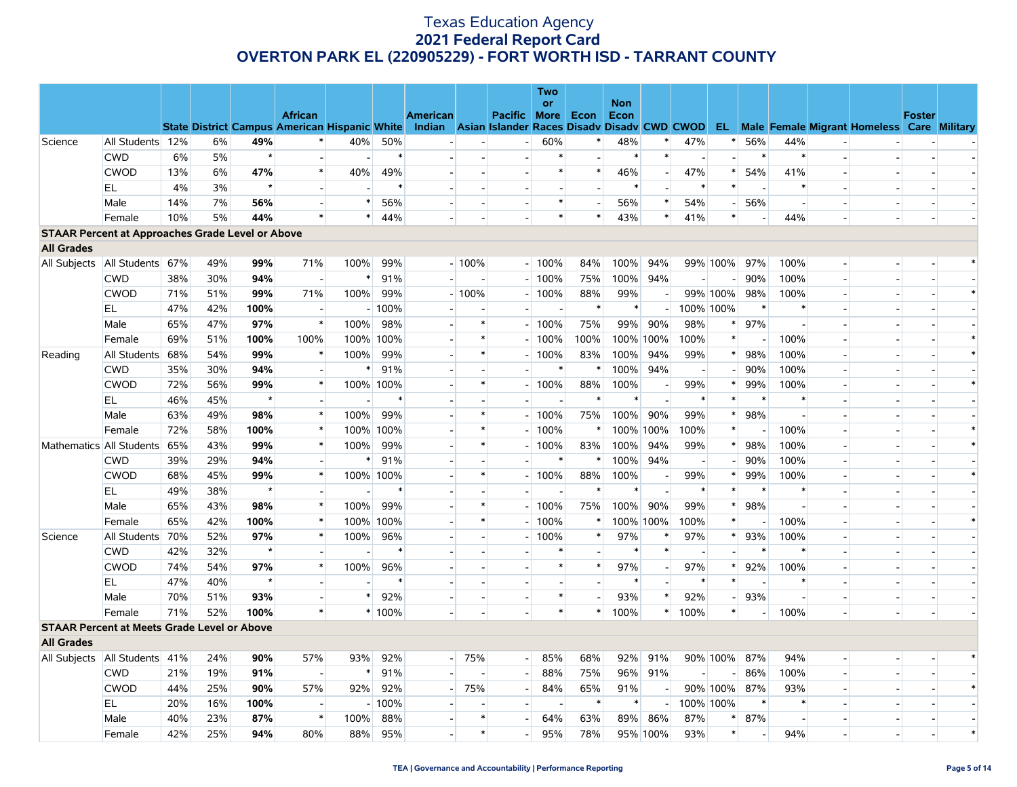|                   |                                                         |     |     |         |                                                      |                |           |                                                    |                          |                          | <b>Two</b>     |                          |             |          |                          |              |                |        |                          |                                                      |               |        |
|-------------------|---------------------------------------------------------|-----|-----|---------|------------------------------------------------------|----------------|-----------|----------------------------------------------------|--------------------------|--------------------------|----------------|--------------------------|-------------|----------|--------------------------|--------------|----------------|--------|--------------------------|------------------------------------------------------|---------------|--------|
|                   |                                                         |     |     |         | <b>African</b>                                       |                |           | <b>American</b>                                    |                          |                          | or             |                          | <b>Non</b>  |          |                          |              |                |        |                          |                                                      | <b>Foster</b> |        |
|                   |                                                         |     |     |         | <b>State District Campus American Hispanic White</b> |                |           | Indian Asian Islander Races Disady Disady CWD CWOD |                          | <b>Pacific</b>           | More           | Econ                     | <b>Econ</b> |          |                          |              |                |        |                          | <b>EL</b> Male Female Migrant Homeless Care Military |               |        |
| Science           | All Students 12%                                        |     | 6%  | 49%     | $\ast$                                               | 40%            | 50%       |                                                    |                          | $\blacksquare$           | 60%            | $\ast$                   | 48%         |          | 47%                      | $\ast$       | 56%            | 44%    |                          |                                                      |               |        |
|                   | <b>CWD</b>                                              | 6%  | 5%  | $\star$ | $\overline{a}$                                       |                | $\ast$    |                                                    |                          |                          | $\ast$         | $\overline{a}$           | $\ast$      | $\ast$   |                          |              | $\ast$         |        | $\sim$                   |                                                      |               |        |
|                   | <b>CWOD</b>                                             | 13% | 6%  | 47%     | $\ast$                                               | 40%            | 49%       |                                                    |                          | $\overline{\phantom{a}}$ | *              | $\ast$                   | 46%         |          | 47%                      |              | 54%            | 41%    |                          |                                                      |               |        |
|                   | EL.                                                     | 4%  | 3%  | $\star$ | $\overline{a}$                                       |                | $\ast$    |                                                    |                          | $\overline{\phantom{a}}$ |                | $\overline{a}$           | $\ast$      |          | $\ast$                   | $\ast$       | $\overline{a}$ | $\ast$ | $\overline{\phantom{a}}$ | $\sim$                                               |               |        |
|                   | Male                                                    | 14% | 7%  | 56%     | $\overline{a}$                                       |                | 56%       |                                                    |                          | $\overline{\phantom{a}}$ | *              | $\overline{\phantom{a}}$ | 56%         | $\ast$   | 54%                      |              | 56%            |        | $\overline{a}$           |                                                      |               |        |
|                   | Female                                                  | 10% | 5%  | 44%     | $\ast$                                               | $\ast$         | 44%       | $\overline{\phantom{a}}$                           |                          |                          | $\ast$         | $\ast$                   | 43%         | $\ast$   | 41%                      | $\ast$       |                | 44%    | $\overline{a}$           | $\overline{a}$                                       |               |        |
|                   | <b>STAAR Percent at Approaches Grade Level or Above</b> |     |     |         |                                                      |                |           |                                                    |                          |                          |                |                          |             |          |                          |              |                |        |                          |                                                      |               |        |
| <b>All Grades</b> |                                                         |     |     |         |                                                      |                |           |                                                    |                          |                          |                |                          |             |          |                          |              |                |        |                          |                                                      |               |        |
| All Subjects      | All Students 67%                                        |     | 49% | 99%     | 71%                                                  | 100%           | 99%       |                                                    | $-100%$                  |                          | $-100%$        | 84%                      | 100%        | 94%      |                          | 99% 100%     | 97%            | 100%   |                          |                                                      |               |        |
|                   | <b>CWD</b>                                              | 38% | 30% | 94%     | $\overline{\phantom{a}}$                             | *              | 91%       |                                                    |                          |                          | $-100%$        | 75%                      | 100%        | 94%      |                          |              | 90%            | 100%   | $\sim$                   |                                                      |               |        |
|                   | <b>CWOD</b>                                             | 71% | 51% | 99%     | 71%                                                  | 100%           | 99%       |                                                    | $-100%$                  |                          | $-100%$        | 88%                      | 99%         |          |                          | 99% 100%     | 98%            | 100%   | $\overline{a}$           | $\overline{\phantom{a}}$                             |               |        |
|                   | EL                                                      | 47% | 42% | 100%    | $\overline{\phantom{a}}$                             |                | $-100%$   |                                                    |                          |                          |                | $\ast$                   | $\ast$      |          | 100% 100%                |              | $\ast$         | $\ast$ |                          |                                                      |               |        |
|                   | Male                                                    | 65% | 47% | 97%     | $\ast$                                               | 100%           | 98%       | $\overline{\phantom{a}}$                           | $\ast$                   |                          | $-100%$        | 75%                      | 99%         | 90%      | 98%                      | $\ast$       | 97%            |        | $\overline{a}$           |                                                      |               |        |
|                   | Female                                                  | 69% | 51% | 100%    | 100%                                                 | 100% 100%      |           |                                                    | $\ast$                   |                          | $-100%$        | 100%                     | 100% 100%   |          | 100%                     | $\ast$       |                | 100%   | $\overline{\phantom{a}}$ |                                                      |               |        |
| Reading           | All Students 68%                                        |     | 54% | 99%     | $\ast$                                               | 100%           | 99%       | $\overline{\phantom{a}}$                           | $\ast$                   | $\overline{\phantom{0}}$ | 100%           | 83%                      | 100%        | 94%      | 99%                      | $\ast$       | 98%            | 100%   | $\blacksquare$           | $\overline{\phantom{a}}$                             |               |        |
|                   | <b>CWD</b>                                              | 35% | 30% | 94%     |                                                      | *              | 91%       |                                                    |                          |                          | $\ast$         | ∗                        | 100%        | 94%      |                          |              | 90%            | 100%   |                          |                                                      |               |        |
|                   | <b>CWOD</b>                                             | 72% | 56% | 99%     | $\ast$                                               |                | 100% 100% | $\overline{\phantom{a}}$                           | $\ast$                   |                          | 100%           | 88%                      | 100%        |          | 99%                      | ∗            | 99%            | 100%   |                          | $\blacksquare$                                       |               |        |
|                   | EL                                                      | 46% | 45% | $\star$ | $\overline{\phantom{a}}$                             |                | $\ast$    |                                                    |                          |                          |                | $\ast$                   | $\ast$      |          | $\ast$                   | $\ast$       | $\ast$         |        |                          |                                                      |               |        |
|                   | Male                                                    | 63% | 49% | 98%     | $\ast$                                               | 100%           | 99%       |                                                    | $\ast$                   |                          | $-100%$        | 75%                      | 100%        | 90%      | 99%                      | $\ast$       | 98%            |        |                          |                                                      |               |        |
|                   | Female                                                  | 72% | 58% | 100%    | $\ast$                                               | 100% 100%      |           | $\sim$                                             | $\ast$                   |                          | 100%           | $\ast$                   | 100% 100%   |          | 100%                     | $\ast$       |                | 100%   |                          |                                                      |               |        |
|                   | Mathematics All Students 65%                            |     | 43% | 99%     | $\ast$                                               | 100%           | 99%       | $\overline{\phantom{a}}$                           | $\ast$                   |                          | $-100%$        | 83%                      | 100%        | 94%      | 99%                      | $\ast$       | 98%            | 100%   | $\overline{a}$           |                                                      |               |        |
|                   | <b>CWD</b>                                              | 39% | 29% | 94%     | $\overline{a}$                                       | $\ast$         | 91%       | $\sim$                                             |                          | $\sim$                   | $\ast$         | $\ast$                   | 100%        | 94%      | $\overline{\phantom{a}}$ |              | 90%            | 100%   | $\sim$                   |                                                      |               |        |
|                   | <b>CWOD</b>                                             | 68% | 45% | 99%     | $\ast$                                               | 100% 100%      |           |                                                    | $\ast$                   |                          | $-100%$        | 88%                      | 100%        |          | 99%                      | ∗            | 99%            | 100%   |                          |                                                      |               |        |
|                   | EL.                                                     | 49% | 38% | $\star$ | $\overline{\phantom{a}}$                             | $\overline{a}$ | ∗         | $\overline{\phantom{a}}$                           |                          |                          | $\overline{a}$ | $\ast$                   | *           |          | ∗                        | $\ast$       | ∗              | $\ast$ |                          |                                                      |               |        |
|                   | Male                                                    | 65% | 43% | 98%     | $\ast$                                               | 100%           | 99%       |                                                    | $\ast$                   |                          | $-100%$        | 75%                      | 100%        | 90%      | 99%                      | $\ast$       | 98%            |        |                          |                                                      |               |        |
|                   | Female                                                  | 65% | 42% | 100%    | $\ast$                                               |                | 100% 100% | $\blacksquare$                                     | $\ast$                   |                          | 100%           | *                        | 100% 100%   |          | 100%                     | $\ast$       |                | 100%   |                          |                                                      |               |        |
| Science           | All Students 70%                                        |     | 52% | 97%     | $\ast$                                               | 100%           | 96%       |                                                    |                          |                          | 100%           | $\ast$                   | 97%         |          | 97%                      | $\ast$       | 93%            | 100%   |                          |                                                      |               |        |
|                   | <b>CWD</b>                                              | 42% | 32% | $\star$ | $\overline{\phantom{a}}$                             |                | $\ast$    |                                                    |                          |                          |                |                          |             |          |                          |              |                |        |                          |                                                      |               |        |
|                   | <b>CWOD</b>                                             | 74% | 54% | 97%     | $\ast$                                               | 100%           | 96%       |                                                    |                          | $\overline{\phantom{a}}$ | $\ast$         | $\ast$                   | 97%         |          | 97%                      | $\ast$       | 92%            | 100%   | $\sim$ 1                 |                                                      |               |        |
|                   | EL                                                      | 47% | 40% | $\star$ | $\overline{a}$                                       |                | $\ast$    |                                                    |                          |                          |                |                          | *           |          | $\ast$                   | $\ast$       |                |        |                          |                                                      |               |        |
|                   | Male                                                    | 70% | 51% | 93%     | $\overline{\phantom{a}}$                             | $\ast$         | 92%       | $\overline{\phantom{a}}$                           | $\overline{\phantom{a}}$ | $\blacksquare$           | $\ast$         | $\overline{a}$           | 93%         |          | 92%                      |              | 93%            |        | $\overline{a}$           | $\blacksquare$                                       |               |        |
|                   | Female                                                  | 71% | 52% | 100%    | $\ast$                                               |                | * 100%    |                                                    |                          |                          | $\ast$         | $\ast$                   | 100%        | $\ast$   | 100%                     | $\ast$       |                | 100%   |                          |                                                      |               |        |
|                   | <b>STAAR Percent at Meets Grade Level or Above</b>      |     |     |         |                                                      |                |           |                                                    |                          |                          |                |                          |             |          |                          |              |                |        |                          |                                                      |               |        |
| <b>All Grades</b> |                                                         |     |     |         |                                                      |                |           |                                                    |                          |                          |                |                          |             |          |                          |              |                |        |                          |                                                      |               |        |
|                   | All Subjects   All Students   41%                       |     | 24% | 90%     | 57%                                                  | 93%            | 92%       |                                                    | $-75%$                   | $-1$                     | 85%            | 68%                      | 92%         | 91%      |                          | 90% 100% 87% |                | 94%    | $\sim$                   |                                                      |               |        |
|                   | <b>CWD</b>                                              | 21% | 19% | 91%     | $\overline{\phantom{a}}$                             | $\ast$         | 91%       |                                                    |                          | н.                       | 88%            | 75%                      | 96%         | 91%      |                          |              | 86%            | 100%   |                          |                                                      |               |        |
|                   | <b>CWOD</b>                                             | 44% | 25% | 90%     | 57%                                                  | 92%            | 92%       | $\overline{a}$                                     | 75%                      | $\overline{\phantom{a}}$ | 84%            | 65%                      | 91%         |          |                          | 90% 100%     | 87%            | 93%    | $\overline{\phantom{a}}$ |                                                      |               |        |
|                   | EL                                                      | 20% | 16% | 100%    | $\overline{\phantom{a}}$                             |                | $-100%$   |                                                    |                          | $\overline{a}$           | ٠              | $\ast$                   | *           |          | 100% 100%                |              | $\ast$         | $\ast$ |                          |                                                      |               |        |
|                   | Male                                                    | 40% | 23% | 87%     | $\ast$                                               | 100%           | 88%       |                                                    | $\ast$                   |                          | 64%            | 63%                      | 89%         | 86%      | 87%                      |              | 87%            |        |                          |                                                      |               |        |
|                   | Female                                                  | 42% | 25% | 94%     | 80%                                                  | 88%            | 95%       |                                                    | $\ast$                   | $\overline{\phantom{a}}$ | 95%            | 78%                      |             | 95% 100% | 93%                      | $\ast$       |                | 94%    |                          |                                                      |               | $\ast$ |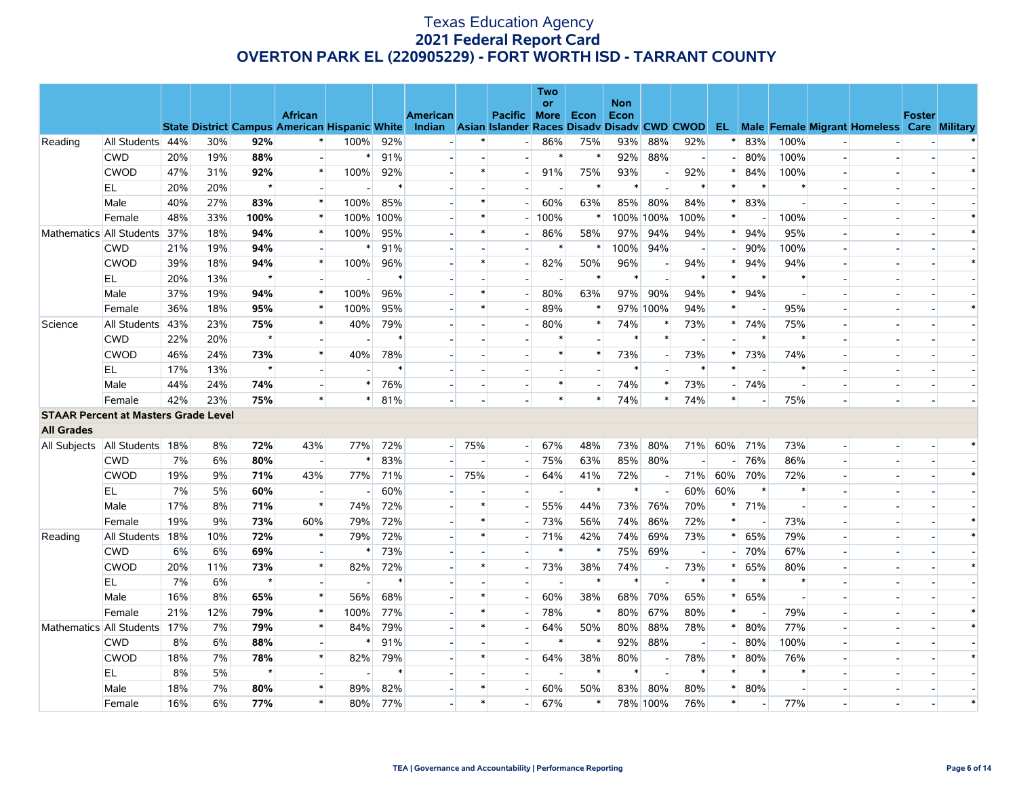|                                             |                  |     |     |         |                                                      |                          |           |                                                    |        |                | <b>Two</b>               |                          |                    |           |        |        |                          |        |                |                                                      |               |  |
|---------------------------------------------|------------------|-----|-----|---------|------------------------------------------------------|--------------------------|-----------|----------------------------------------------------|--------|----------------|--------------------------|--------------------------|--------------------|-----------|--------|--------|--------------------------|--------|----------------|------------------------------------------------------|---------------|--|
|                                             |                  |     |     |         | <b>African</b>                                       |                          |           | <b>American</b>                                    |        | <b>Pacific</b> | or<br><b>More</b>        | Econ                     | <b>Non</b><br>Econ |           |        |        |                          |        |                |                                                      | <b>Foster</b> |  |
|                                             |                  |     |     |         | <b>State District Campus American Hispanic White</b> |                          |           | Indian Asian Islander Races Disady Disady CWD CWOD |        |                |                          |                          |                    |           |        |        |                          |        |                | <b>EL</b> Male Female Migrant Homeless Care Military |               |  |
| Reading                                     | All Students 44% |     | 30% | 92%     | $\ast$                                               | 100%                     | 92%       |                                                    |        |                | 86%                      | 75%                      | 93%                | 88%       | 92%    |        | 83%                      | 100%   |                |                                                      |               |  |
|                                             | <b>CWD</b>       | 20% | 19% | 88%     | $\overline{\phantom{a}}$                             | $\ast$                   | 91%       |                                                    |        |                | $\ast$                   | $\ast$                   | 92%                | 88%       |        |        | 80%                      | 100%   |                |                                                      |               |  |
|                                             | <b>CWOD</b>      | 47% | 31% | 92%     | $\ast$                                               | 100%                     | 92%       |                                                    | $\ast$ |                | 91%                      | 75%                      | 93%                |           | 92%    | $\ast$ | 84%                      | 100%   |                |                                                      |               |  |
|                                             | EL               | 20% | 20% | $\star$ | $\sim$                                               | $\overline{\phantom{a}}$ | $\ast$    |                                                    |        |                | $\overline{\phantom{a}}$ | $\ast$                   | $\ast$             |           | $\ast$ | $\ast$ | $\ast$                   | $\ast$ |                |                                                      |               |  |
|                                             | Male             | 40% | 27% | 83%     | $\ast$                                               | 100%                     | 85%       |                                                    |        |                | 60%                      | 63%                      | 85%                | 80%       | 84%    |        | 83%                      |        |                |                                                      |               |  |
|                                             | Female           | 48% | 33% | 100%    | $\ast$                                               |                          | 100% 100% |                                                    |        |                | 100%                     | $\ast$                   |                    | 100% 100% | 100%   | $\ast$ | $\overline{\phantom{a}}$ | 100%   |                |                                                      |               |  |
| Mathematics All Students                    |                  | 37% | 18% | 94%     | $\ast$                                               | 100%                     | 95%       |                                                    | $\ast$ |                | 86%                      | 58%                      | 97%                | 94%       | 94%    | $\ast$ | 94%                      | 95%    |                |                                                      |               |  |
|                                             | <b>CWD</b>       | 21% | 19% | 94%     | $\overline{\phantom{a}}$                             | $\ast$                   | 91%       |                                                    |        |                | $\ast$                   | $\ast$                   | 100%               | 94%       |        |        | 90%                      | 100%   |                |                                                      |               |  |
|                                             | <b>CWOD</b>      | 39% | 18% | 94%     | $\ast$                                               | 100%                     | 96%       |                                                    | $\ast$ |                | 82%                      | 50%                      | 96%                |           | 94%    | *      | 94%                      | 94%    |                |                                                      |               |  |
|                                             | EL               | 20% | 13% | $\star$ | $\overline{\phantom{a}}$                             |                          | $\ast$    |                                                    |        |                | $\blacksquare$           | $\ast$                   | $\ast$             |           | $\ast$ |        | ∗                        | $\ast$ |                |                                                      |               |  |
|                                             | Male             | 37% | 19% | 94%     | $\ast$                                               | 100%                     | 96%       |                                                    | $\ast$ |                | 80%                      | 63%                      | 97%                | 90%       | 94%    | $\ast$ | 94%                      |        |                |                                                      |               |  |
|                                             | Female           | 36% | 18% | 95%     | $\ast$                                               | 100%                     | 95%       |                                                    | $\ast$ |                | 89%                      | $\ast$                   |                    | 97% 100%  | 94%    | $\ast$ | $\overline{\phantom{a}}$ | 95%    |                |                                                      |               |  |
| Science                                     | All Students     | 43% | 23% | 75%     | $\ast$                                               | 40%                      | 79%       |                                                    |        |                | 80%                      | $\ast$                   | 74%                |           | 73%    | $\ast$ | 74%                      | 75%    |                |                                                      |               |  |
|                                             | <b>CWD</b>       | 22% | 20% | $\star$ | $\overline{\phantom{a}}$                             | $\overline{\phantom{a}}$ | ∗         |                                                    |        |                | $\ast$                   | $\overline{\phantom{a}}$ | $\ast$             | $\ast$    |        |        | ∗                        | $\ast$ |                |                                                      |               |  |
|                                             | <b>CWOD</b>      | 46% | 24% | 73%     | $\ast$                                               | 40%                      | 78%       |                                                    |        |                | $\ast$                   | $\ast$                   | 73%                |           | 73%    |        | 73%                      | 74%    |                |                                                      |               |  |
|                                             | EL               | 17% | 13% | $\star$ | $\overline{\phantom{a}}$                             |                          | $\ast$    |                                                    |        |                | $\sim$                   | $\overline{a}$           | $\ast$             |           | $\ast$ | $\ast$ | $\overline{\phantom{a}}$ | $\ast$ |                |                                                      |               |  |
|                                             | Male             | 44% | 24% | 74%     | $\overline{\phantom{a}}$                             | $*$                      | 76%       |                                                    |        |                | $\ast$                   | $\overline{\phantom{a}}$ | 74%                |           | 73%    |        | 74%                      |        |                |                                                      |               |  |
|                                             | Female           | 42% | 23% | 75%     | $\ast$                                               | $\ast$                   | 81%       |                                                    |        |                | $\ast$                   | $\ast$                   | 74%                | $\ast$    | 74%    | $\ast$ |                          | 75%    |                |                                                      |               |  |
| <b>STAAR Percent at Masters Grade Level</b> |                  |     |     |         |                                                      |                          |           |                                                    |        |                |                          |                          |                    |           |        |        |                          |        |                |                                                      |               |  |
| <b>All Grades</b>                           |                  |     |     |         |                                                      |                          |           |                                                    |        |                |                          |                          |                    |           |        |        |                          |        |                |                                                      |               |  |
| All Subjects   All Students   18%           |                  |     | 8%  | 72%     | 43%                                                  | 77%                      | 72%       |                                                    | $-75%$ | $\overline{a}$ | 67%                      | 48%                      | 73%                | 80%       | 71%    | 60%    | 71%                      | 73%    | $\overline{a}$ | ÷.                                                   |               |  |
|                                             | <b>CWD</b>       | 7%  | 6%  | 80%     | $\overline{\phantom{a}}$                             | *                        | 83%       |                                                    |        |                | 75%                      | 63%                      | 85%                | 80%       |        |        | 76%                      | 86%    |                |                                                      |               |  |
|                                             | <b>CWOD</b>      | 19% | 9%  | 71%     | 43%                                                  | 77%                      | 71%       |                                                    | 75%    |                | 64%                      | 41%                      | 72%                |           | 71%    | 60%    | 70%                      | 72%    |                |                                                      |               |  |
|                                             | EL               | 7%  | 5%  | 60%     | $\sim$                                               | $\overline{\phantom{a}}$ | 60%       |                                                    |        |                | $\sim$                   | $\ast$                   | $\ast$             |           | 60%    | 60%    | $\ast$                   | $\ast$ |                |                                                      |               |  |
|                                             | Male             | 17% | 8%  | 71%     | $\ast$                                               | 74%                      | 72%       |                                                    | $\ast$ |                | 55%                      | 44%                      | 73%                | 76%       | 70%    |        | 71%                      |        |                |                                                      |               |  |
|                                             | Female           | 19% | 9%  | 73%     | 60%                                                  | 79%                      | 72%       |                                                    | $\ast$ |                | 73%                      | 56%                      | 74%                | 86%       | 72%    | $\ast$ |                          | 73%    |                |                                                      |               |  |
| Reading                                     | All Students     | 18% | 10% | 72%     | $\ast$                                               | 79%                      | 72%       |                                                    | $\ast$ |                | 71%                      | 42%                      | 74%                | 69%       | 73%    | $\ast$ | 65%                      | 79%    |                |                                                      |               |  |
|                                             | <b>CWD</b>       | 6%  | 6%  | 69%     | $\overline{a}$                                       | *                        | 73%       |                                                    |        |                | $\ast$                   | $\ast$                   | 75%                | 69%       |        |        | 70%                      | 67%    |                |                                                      |               |  |
|                                             | <b>CWOD</b>      | 20% | 11% | 73%     | $\ast$                                               | 82%                      | 72%       |                                                    | $\ast$ |                | 73%                      | 38%                      | 74%                |           | 73%    | ∗      | 65%                      | 80%    |                |                                                      |               |  |
|                                             | EL               | 7%  | 6%  | $\star$ | $\overline{\phantom{a}}$                             |                          | $\ast$    |                                                    |        |                | $\overline{\phantom{a}}$ | $\ast$                   | $\ast$             |           | $\ast$ |        | $\ast$                   | $\ast$ |                |                                                      |               |  |
|                                             | Male             | 16% | 8%  | 65%     | $\ast$                                               | 56%                      | 68%       |                                                    | $\ast$ |                | 60%                      | 38%                      | 68%                | 70%       | 65%    | $\ast$ | 65%                      |        |                |                                                      |               |  |
|                                             | Female           | 21% | 12% | 79%     | $\ast$                                               | 100%                     | 77%       |                                                    | $\ast$ |                | 78%                      | $\ast$                   | 80%                | 67%       | 80%    | $\ast$ |                          | 79%    |                |                                                      |               |  |
| Mathematics All Students                    |                  | 17% | 7%  | 79%     | $\ast$                                               | 84%                      | 79%       |                                                    | $\ast$ |                | 64%                      | 50%                      | 80%                | 88%       | 78%    |        | 80%                      | 77%    | $\overline{a}$ |                                                      |               |  |
|                                             | <b>CWD</b>       | 8%  | 6%  | 88%     | $\overline{\phantom{a}}$                             | $\ast$                   | 91%       |                                                    |        |                | $\ast$                   | $\ast$                   | 92%                | 88%       |        |        | 80%                      | 100%   |                |                                                      |               |  |
|                                             | <b>CWOD</b>      | 18% | 7%  | 78%     | $\ast$                                               | 82%                      | 79%       |                                                    | $\ast$ |                | 64%                      | 38%                      | 80%                |           | 78%    |        | 80%                      | 76%    |                |                                                      |               |  |
|                                             | EL               | 8%  | 5%  | $\star$ | $\overline{a}$                                       | $\sim$                   | $\ast$    |                                                    |        |                | $\overline{a}$           | $\ast$                   | $\ast$             |           | $\ast$ | $\ast$ | $\ast$                   | $\ast$ |                |                                                      |               |  |
|                                             | Male             | 18% | 7%  | 80%     | $\ast$                                               | 89%                      | 82%       |                                                    | $\ast$ |                | 60%                      | 50%                      | 83%                | 80%       | 80%    |        | 80%                      |        |                |                                                      |               |  |
|                                             | Female           | 16% | 6%  | 77%     | $\ast$                                               | 80%                      | 77%       |                                                    | $\ast$ |                | 67%                      | $\ast$                   |                    | 78% 100%  | 76%    | $\ast$ |                          | 77%    |                |                                                      |               |  |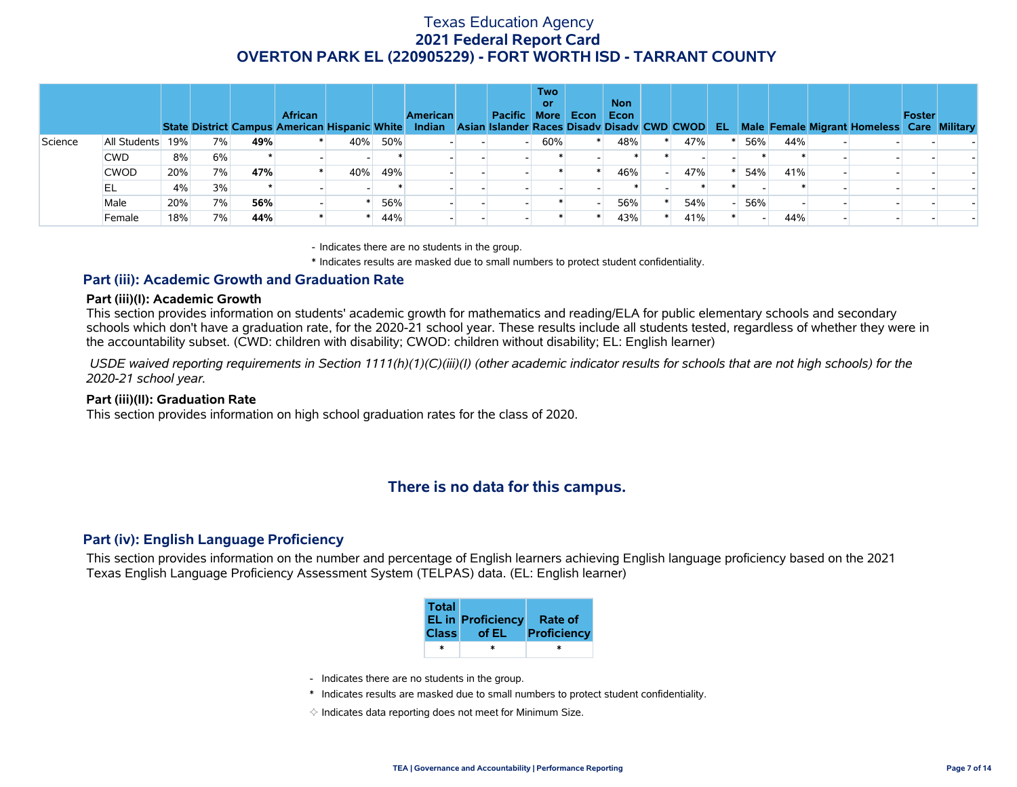|         |              |     |    |     | <b>African</b><br>State District Campus American Hispanic White Indian Asian Islander Races Disadv Disadv CWD CWOD EL |     |     | <b>American</b> | <b>Pacific</b> | <b>Two</b><br>or<br><b>More</b> | Econ | <b>Non</b><br>Econ |     |     |     | Male Female Migrant Homeless Care Military | Foster |  |
|---------|--------------|-----|----|-----|-----------------------------------------------------------------------------------------------------------------------|-----|-----|-----------------|----------------|---------------------------------|------|--------------------|-----|-----|-----|--------------------------------------------|--------|--|
| Science | All Students | 19% | 7% | 49% |                                                                                                                       | 40% | 50% |                 |                | 60%                             |      | 48%                | 47% | 56% | 44% |                                            |        |  |
|         | <b>CWD</b>   | 8%  | 6% |     |                                                                                                                       |     |     |                 |                |                                 |      |                    |     |     |     |                                            |        |  |
|         | <b>CWOD</b>  | 20% | 7% | 47% |                                                                                                                       | 40% | 49% |                 |                |                                 |      | 46%                | 47% | 54% | 41% |                                            |        |  |
|         | EL           | 4%  | 3% |     |                                                                                                                       |     |     |                 |                |                                 |      |                    |     |     |     |                                            |        |  |
|         | Male         | 20% | 7% | 56% |                                                                                                                       |     | 56% |                 |                |                                 |      | 56%                | 54% | 56% |     |                                            |        |  |
|         | Female       | 18% | 7% | 44% |                                                                                                                       |     | 44% |                 |                |                                 |      | 43%                | 41% |     | 44% |                                            |        |  |

- Indicates there are no students in the group.

\* Indicates results are masked due to small numbers to protect student confidentiality.

### **Part (iii): Academic Growth and Graduation Rate**

#### **Part (iii)(I): Academic Growth**

This section provides information on students' academic growth for mathematics and reading/ELA for public elementary schools and secondary schools which don't have a graduation rate, for the 2020-21 school year. These results include all students tested, regardless of whether they were in the accountability subset. (CWD: children with disability; CWOD: children without disability; EL: English learner)

 *USDE waived reporting requirements in Section 1111(h)(1)(C)(iii)(I) (other academic indicator results for schools that are not high schools) for the 2020-21 school year.*

#### **Part (iii)(II): Graduation Rate**

This section provides information on high school graduation rates for the class of 2020.

# **There is no data for this campus.**

#### **Part (iv): English Language Proficiency**

This section provides information on the number and percentage of English learners achieving English language proficiency based on the 2021 Texas English Language Proficiency Assessment System (TELPAS) data. (EL: English learner)

| <b>Total</b> | <b>EL in Proficiency</b><br>Class of EL | Rate of<br>Proficiency |
|--------------|-----------------------------------------|------------------------|
| ж            | ×                                       | ÷                      |

- Indicates there are no students in the group.
- \* Indicates results are masked due to small numbers to protect student confidentiality.
- $\diamond$  Indicates data reporting does not meet for Minimum Size.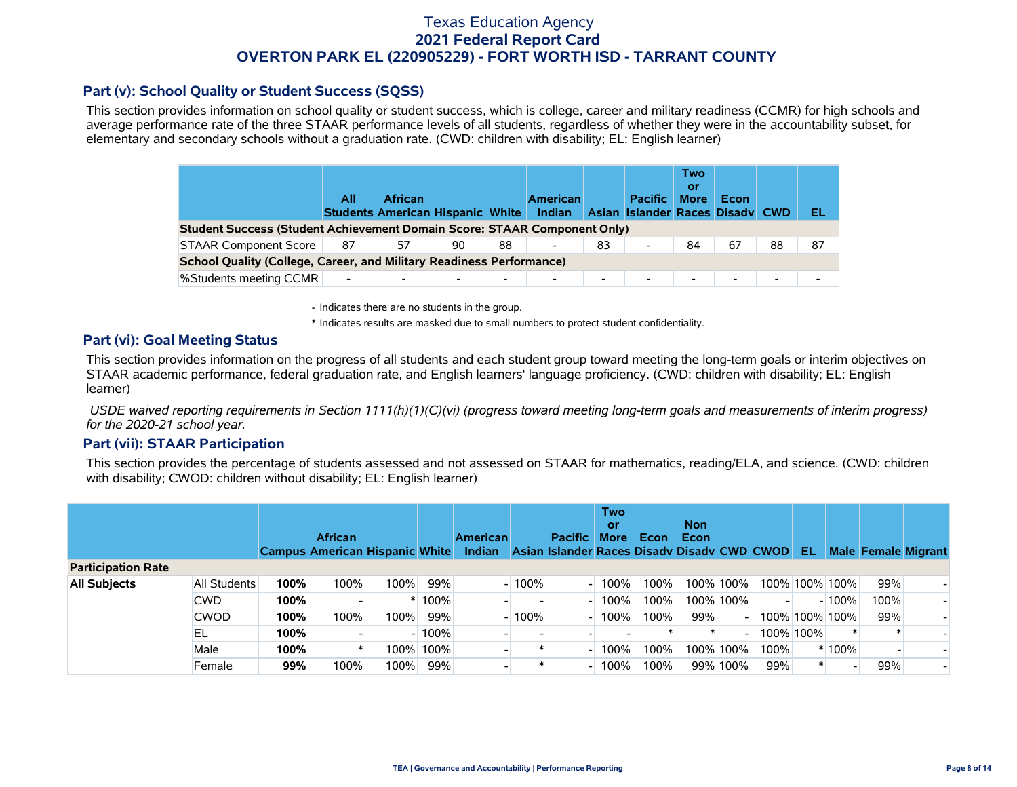### **Part (v): School Quality or Student Success (SQSS)**

This section provides information on school quality or student success, which is college, career and military readiness (CCMR) for high schools and average performance rate of the three STAAR performance levels of all students, regardless of whether they were in the accountability subset, for elementary and secondary schools without a graduation rate. (CWD: children with disability; EL: English learner)

|                                                                                                                                                                                                                                                                            | All                      | <b>African</b> |  |                          | Indian                   |                | <b>Pacific</b>           | Two<br>0ľ<br><b>More</b> | Econ   |                          | EL |  |  |  |
|----------------------------------------------------------------------------------------------------------------------------------------------------------------------------------------------------------------------------------------------------------------------------|--------------------------|----------------|--|--------------------------|--------------------------|----------------|--------------------------|--------------------------|--------|--------------------------|----|--|--|--|
| <b>American</b><br><b>Students American Hispanic White</b><br>Asian Islander Races Disady CWD                                                                                                                                                                              |                          |                |  |                          |                          |                |                          |                          |        |                          |    |  |  |  |
| Student Success (Student Achievement Domain Score: STAAR Component Only)<br><b>STAAR Component Score</b><br>83<br>67<br>88<br>57<br>88<br>-87<br>87<br>90<br>84<br>$\overline{\phantom{a}}$<br><b>School Quality (College, Career, and Military Readiness Performance)</b> |                          |                |  |                          |                          |                |                          |                          |        |                          |    |  |  |  |
|                                                                                                                                                                                                                                                                            |                          |                |  |                          |                          |                |                          |                          |        |                          |    |  |  |  |
| <b>%Students meeting CCMR</b>                                                                                                                                                                                                                                              | $\overline{\phantom{a}}$ |                |  | $\overline{\phantom{0}}$ | $\overline{\phantom{0}}$ | $\blacksquare$ | $\overline{\phantom{a}}$ | $\overline{\phantom{0}}$ | $\sim$ | $\overline{\phantom{0}}$ |    |  |  |  |

- Indicates there are no students in the group.

\* Indicates results are masked due to small numbers to protect student confidentiality.

### **Part (vi): Goal Meeting Status**

This section provides information on the progress of all students and each student group toward meeting the long-term goals or interim objectives on STAAR academic performance, federal graduation rate, and English learners' language proficiency. (CWD: children with disability; EL: English learner)

 *USDE waived reporting requirements in Section 1111(h)(1)(C)(vi) (progress toward meeting long-term goals and measurements of interim progress) for the 2020-21 school year.*

#### **Part (vii): STAAR Participation**

This section provides the percentage of students assessed and not assessed on STAAR for mathematics, reading/ELA, and science. (CWD: children with disability; CWOD: children without disability; EL: English learner)

|                           |              |      | <b>African</b><br><b>Campus American Hispanic White</b> |      |           | <b>American</b><br><b>Indian</b> |         | <b>Pacific</b><br>Asian Islander Races Disady Disady CWD CWOD | <b>Two</b><br>or<br><b>More</b> | Econ | <b>Non</b><br><b>Econ</b> |             |      | -EL            |         | <b>Male Female Migrant</b> |  |
|---------------------------|--------------|------|---------------------------------------------------------|------|-----------|----------------------------------|---------|---------------------------------------------------------------|---------------------------------|------|---------------------------|-------------|------|----------------|---------|----------------------------|--|
| <b>Participation Rate</b> |              |      |                                                         |      |           |                                  |         |                                                               |                                 |      |                           |             |      |                |         |                            |  |
| <b>All Subjects</b>       | All Students | 100% | 100%                                                    | 100% | 99%       |                                  | $-100%$ |                                                               | 100%                            | 100% |                           | 100% 100%   |      | 100% 100% 100% |         | 99%                        |  |
|                           | <b>CWD</b>   | 100% |                                                         |      | 100%      |                                  |         |                                                               | 00%                             | 100% |                           | 100% 100%   |      |                | $-100%$ | 100%                       |  |
|                           | <b>CWOD</b>  | 100% | 100%                                                    | 100% | 99%       |                                  | $-100%$ |                                                               | 100%                            | 100% | 99%                       |             |      | 100% 100% 100% |         | 99%                        |  |
|                           | EL           | 100% |                                                         |      | $-100%$   |                                  |         |                                                               |                                 |      |                           |             |      | 100% 100%      |         |                            |  |
|                           | Male         | 100% |                                                         |      | 100% 100% |                                  |         |                                                               | 100%                            | 100% |                           | 100% 100% l | 100% |                | * 100%  |                            |  |
|                           | Female       | 99%  | 100%                                                    | 100% | 99%       |                                  |         |                                                               | 00%                             | 100% |                           | 99% 100%    | 99%  |                |         | 99%                        |  |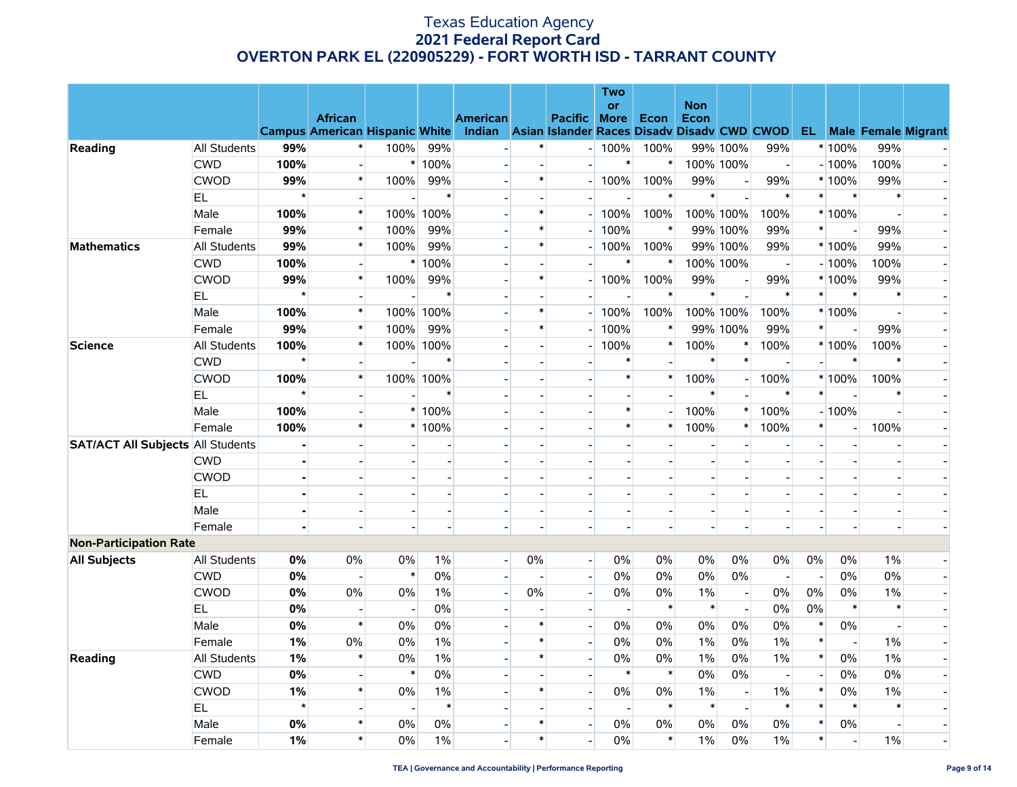|                                          |                     |                |                                                                                                                            |        |                |                          |                          |                          | <b>Two</b>  |                |                |           |                          |                          |                          |                          |                          |
|------------------------------------------|---------------------|----------------|----------------------------------------------------------------------------------------------------------------------------|--------|----------------|--------------------------|--------------------------|--------------------------|-------------|----------------|----------------|-----------|--------------------------|--------------------------|--------------------------|--------------------------|--------------------------|
|                                          |                     |                |                                                                                                                            |        |                |                          |                          |                          | or          |                | <b>Non</b>     |           |                          |                          |                          |                          |                          |
|                                          |                     |                | <b>African</b><br>Campus American Hispanic White Indian Asian Islander Races Disadv Disadv CWD CWOD EL Male Female Migrant |        |                | <b>American</b>          |                          | <b>Pacific More Econ</b> |             |                | Econ           |           |                          |                          |                          |                          |                          |
| Reading                                  | All Students        | 99%            | $\ast$                                                                                                                     | 100%   | 99%            |                          | $\ast$                   |                          | $-100%$     | 100%           |                | 99% 100%  | 99%                      |                          | * 100%                   | 99%                      |                          |
|                                          | <b>CWD</b>          | 100%           |                                                                                                                            |        | * 100%         |                          |                          |                          | $\ast$      | $\ast$         |                | 100% 100% | $\mathbf{E}$             |                          | $-100%$                  | 100%                     |                          |
|                                          | <b>CWOD</b>         | 99%            | $\ast$                                                                                                                     | 100%   | 99%            |                          | $\ast$                   |                          | $-100%$     | 100%           | 99%            |           | 99%                      |                          | * 100%                   | 99%                      |                          |
|                                          | EL.                 | $\star$        |                                                                                                                            |        | $\ast$         |                          | $\blacksquare$           | $\overline{\phantom{0}}$ |             | $\pmb{\ast}$   | $\ast$         |           | $\ast$                   | $\ast$                   | $\ast$                   | $\ast$                   |                          |
|                                          | Male                | 100%           | $\ast$                                                                                                                     | 100%   | 100%           |                          | $\ast$                   |                          | 100%        | 100%           |                | 100% 100% | 100%                     |                          | * 100%                   |                          |                          |
|                                          | Female              | 99%            | $\ast$                                                                                                                     | 100%   | 99%            |                          | $\ast$                   | $\overline{\phantom{a}}$ | 100%        | $\pmb{\ast}$   |                | 99% 100%  | 99%                      | $\ast$                   | $\blacksquare$           | 99%                      |                          |
| <b>Mathematics</b>                       | All Students        | 99%            | $\ast$                                                                                                                     | 100%   | 99%            |                          | $\ast$                   | $-1$                     | 100%        | 100%           |                | 99% 100%  | 99%                      |                          | * 100%                   | 99%                      |                          |
|                                          | <b>CWD</b>          | 100%           |                                                                                                                            |        | * 100%         |                          |                          |                          | $\ast$      | $\ast$         |                | 100% 100% |                          |                          | $-100%$                  | 100%                     |                          |
|                                          | <b>CWOD</b>         | 99%            | $\ast$                                                                                                                     | 100%   | 99%            |                          | $\ast$                   |                          | $-100%$     | 100%           | 99%            |           | 99%                      |                          | * 100%                   | 99%                      |                          |
|                                          | EL.                 | $\star$        |                                                                                                                            |        | $\ast$         |                          |                          | $\sim$                   |             | $\ast$         | $\ast$         |           | $\ast$                   | $\ast$                   | $\ast$                   | $\ast$                   |                          |
|                                          | Male                | 100%           | $\ast$                                                                                                                     |        | 100% 100%      |                          | $\ast$                   | $-1$                     | 100%        | 100%           |                | 100% 100% | 100%                     |                          | * 100%                   |                          |                          |
|                                          | Female              | 99%            | $\ast$                                                                                                                     | 100%   | 99%            |                          | $\ast$                   |                          | 100%<br>$-$ | $\ast$         |                | 99% 100%  | 99%                      | $\pmb{\ast}$             | $\overline{a}$           | 99%                      |                          |
| <b>Science</b>                           | All Students        | 100%           | $\ast$                                                                                                                     |        | 100% 100%      |                          | $\overline{a}$           | $\sim$                   | 100%        | $\ast$         | 100%           | $\ast$    | 100%                     |                          | * 100%                   | 100%                     |                          |
|                                          | <b>CWD</b>          | $\star$        |                                                                                                                            |        | $\ast$         |                          | $\overline{\phantom{0}}$ |                          |             |                | $\ast$         |           |                          |                          | $\ast$                   | $\ast$                   |                          |
|                                          | <b>CWOD</b>         | 100%           | $\ast$                                                                                                                     |        | 100% 100%      |                          |                          |                          | $\ast$      | $\ast$         | 100%           |           | 100%                     |                          | * 100%                   | 100%                     |                          |
|                                          | EL.                 | $\star$        |                                                                                                                            |        | $\ast$         |                          | $\overline{a}$           | $\sim$                   |             | $\overline{a}$ | $\ast$         |           | $\ast$                   | $\pmb{\ast}$             |                          | $\ast$                   |                          |
|                                          | Male                | 100%           |                                                                                                                            |        | $*100%$        |                          |                          | $\blacksquare$           | $\ast$      |                | 100%           |           | 100%                     |                          | $-100%$                  | $\blacksquare$           |                          |
|                                          | Female              | 100%           | $\ast$                                                                                                                     |        | * 100%         |                          |                          | $\overline{a}$           | $\ast$      | $\pmb{\ast}$   | 100%           | $\ast$    | 100%                     | $\ast$                   | $\overline{\phantom{a}}$ | 100%                     |                          |
| <b>SAT/ACT All Subjects All Students</b> |                     | ä,             |                                                                                                                            |        | $\overline{a}$ |                          | $\overline{\phantom{0}}$ | $\overline{a}$           |             |                |                |           |                          | $\overline{a}$           | $\blacksquare$           |                          |                          |
|                                          | <b>CWD</b>          | $\blacksquare$ |                                                                                                                            |        |                |                          | $\overline{a}$           | $\overline{\phantom{0}}$ |             | $\blacksquare$ |                |           |                          |                          | $\overline{\phantom{a}}$ | $\blacksquare$           |                          |
|                                          | <b>CWOD</b>         |                |                                                                                                                            |        |                |                          |                          | $\blacksquare$           |             | $\overline{a}$ |                |           |                          |                          | $\overline{\phantom{a}}$ | $\overline{\phantom{a}}$ |                          |
|                                          | EL                  | ä,             |                                                                                                                            |        |                |                          | $\blacksquare$           |                          |             |                |                |           |                          |                          |                          |                          |                          |
|                                          | Male                | $\overline{a}$ |                                                                                                                            |        | $\overline{a}$ |                          | $\sim$                   | $\sim$                   |             | $\overline{a}$ | $\overline{a}$ |           |                          |                          | $\blacksquare$           | $\sim$                   |                          |
|                                          | Female              |                |                                                                                                                            |        |                |                          | $\overline{\phantom{a}}$ | $\overline{\phantom{a}}$ |             | $\overline{a}$ |                |           |                          |                          | $\overline{a}$           | $\blacksquare$           |                          |
| <b>Non-Participation Rate</b>            |                     |                |                                                                                                                            |        |                |                          |                          |                          |             |                |                |           |                          |                          |                          |                          |                          |
| <b>All Subjects</b>                      | All Students        | 0%             | 0%                                                                                                                         | 0%     | 1%             | $\mathbf{E}$             | $0\%$                    | $\mathbf{L}$             | 0%          | $0\%$          | 0%             | 0%        | 0%                       | 0%                       | $0\%$                    | $1\%$                    |                          |
|                                          | <b>CWD</b>          | 0%             |                                                                                                                            | $\ast$ | 0%             |                          |                          | $\overline{a}$           | 0%          | $0\%$          | $0\%$          | 0%        | $\overline{\phantom{a}}$ |                          | $0\%$                    | 0%                       |                          |
|                                          | <b>CWOD</b>         | 0%             | $0\%$                                                                                                                      | 0%     | $1\%$          |                          | $0\%$                    | $\overline{a}$           | 0%          | 0%             | $1\%$          |           | 0%                       | 0%                       | $0\%$                    | $1\%$                    |                          |
|                                          | EL.                 | 0%             |                                                                                                                            |        | 0%             | $\overline{\phantom{a}}$ | $\overline{a}$           | $\overline{\phantom{a}}$ |             | $\ast$         | $\ast$         |           | 0%                       | 0%                       | $\ast$                   | $\ast$                   |                          |
|                                          | Male                | 0%             | $\ast$                                                                                                                     | 0%     | 0%             |                          | $\ast$                   | $\overline{\phantom{a}}$ | 0%          | 0%             | $0\%$          | 0%        | $0\%$                    | $\ast$                   | $0\%$                    | $\sim$                   |                          |
|                                          | Female              | 1%             | 0%                                                                                                                         | 0%     | 1%             |                          | $\ast$                   | $\overline{a}$           | 0%          | $0\%$          | 1%             | 0%        | 1%                       | $\ast$                   | $\overline{\phantom{a}}$ | $1\%$                    |                          |
| Reading                                  | <b>All Students</b> | 1%             | $\ast$                                                                                                                     | 0%     | $1\%$          |                          | $\ast$                   | $\blacksquare$           | 0%          | $0\%$          | 1%             | 0%        | $1\%$                    | $\pmb{\ast}$             | 0%                       | $1\%$                    |                          |
|                                          | <b>CWD</b>          | 0%             |                                                                                                                            | $\ast$ | 0%             |                          | $\overline{\phantom{a}}$ | $\overline{\phantom{a}}$ | $\ast$      | $\ast$         | 0%             | 0%        | $\overline{a}$           | $\overline{\phantom{a}}$ | $0\%$                    | 0%                       |                          |
|                                          | <b>CWOD</b>         | 1%             | $\ast$                                                                                                                     | $0\%$  | $1\%$          |                          | $\ast$                   | $\overline{a}$           | 0%          | $0\%$          | $1\%$          |           | 1%                       | $\ast$                   | $0\%$                    | $1\%$                    |                          |
|                                          | EL.                 | $\star$        |                                                                                                                            |        | $\ast$         |                          |                          | $\blacksquare$           |             | $\ast$         | $\pmb{*}$      |           | $\ast$                   | $\ast$                   | $\ast$                   | $\ast$                   |                          |
|                                          | Male                | 0%             | $\ast$                                                                                                                     | 0%     | 0%             |                          | $\ast$                   | $\overline{a}$           | 0%          | $0\%$          | 0%             | 0%        | 0%                       | $\ast$                   | $0\%$                    | $\sim$                   | $\overline{\phantom{a}}$ |
|                                          | Female              | 1%             | $\ast$                                                                                                                     | 0%     | 1%             |                          | $\ast$                   | $\overline{\phantom{a}}$ | 0%          | $\ast$         | $1\%$          | 0%        | 1%                       | $\ast$                   | $\overline{\phantom{a}}$ | $1\%$                    |                          |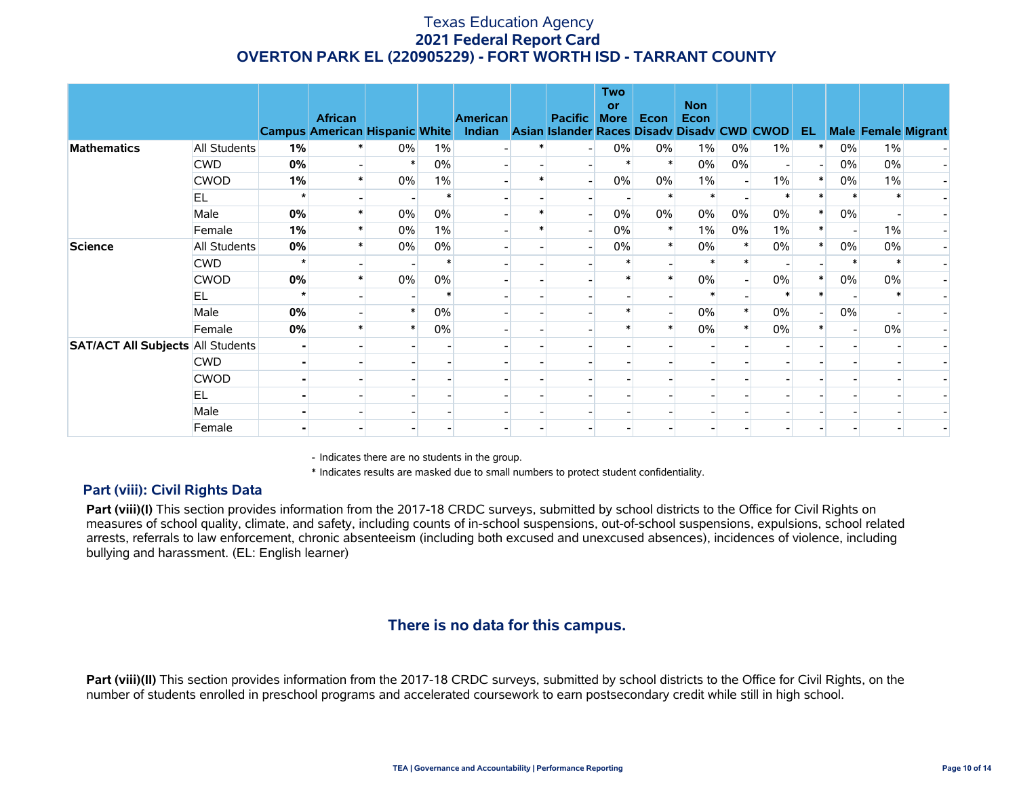|                                          |              |    | <b>African</b><br><b>Campus American Hispanic White</b> |       |       | <b>American</b><br>Indian Asian Islander Races Disady Disady CWD CWOD | <b>Pacific</b> | <b>Two</b><br>or<br><b>More</b> | Econ   | <b>Non</b><br>Econ |        |       | EL. |        |       | <b>Male Female Migrant</b> |
|------------------------------------------|--------------|----|---------------------------------------------------------|-------|-------|-----------------------------------------------------------------------|----------------|---------------------------------|--------|--------------------|--------|-------|-----|--------|-------|----------------------------|
| <b>Mathematics</b>                       | All Students | 1% |                                                         | $0\%$ | 1%    |                                                                       |                | $0\%$                           | 0%     | $1\%$              | $0\%$  | $1\%$ |     | $0\%$  | $1\%$ |                            |
|                                          | <b>CWD</b>   | 0% |                                                         |       | $0\%$ |                                                                       |                |                                 |        | $0\%$              | $0\%$  |       |     | 0%     | 0%    |                            |
|                                          | <b>CWOD</b>  | 1% |                                                         | $0\%$ | $1\%$ |                                                                       |                | 0%                              | 0%     | $1\%$              |        | $1\%$ |     | 0%     | 1%    |                            |
|                                          | EL.          |    |                                                         |       |       |                                                                       |                |                                 |        |                    |        |       |     |        |       |                            |
|                                          | Male         | 0% |                                                         | 0%    | 0%    |                                                                       |                | 0%                              | 0%     | 0%                 | 0%     | 0%    |     | 0%     |       |                            |
|                                          | Female       | 1% |                                                         | $0\%$ | $1\%$ |                                                                       |                | 0%                              |        | $1\%$              | $0\%$  | $1\%$ |     |        | $1\%$ |                            |
| <b>Science</b>                           | All Students | 0% |                                                         | $0\%$ | 0%    |                                                                       |                | 0%                              | $\ast$ | $0\%$              | $\ast$ | 0%    |     | 0%     | 0%    |                            |
|                                          | <b>CWD</b>   |    |                                                         |       |       |                                                                       |                |                                 |        |                    |        |       |     | $\ast$ |       |                            |
|                                          | <b>CWOD</b>  | 0% |                                                         | 0%    | 0%    |                                                                       |                |                                 |        | 0%                 |        | 0%    |     | $0\%$  | 0%    |                            |
|                                          | EL           |    |                                                         |       |       |                                                                       |                |                                 |        |                    |        |       |     |        |       |                            |
|                                          | Male         | 0% |                                                         |       | 0%    |                                                                       |                |                                 |        | 0%                 |        | $0\%$ |     | 0%     |       |                            |
|                                          | Female       | 0% |                                                         |       | $0\%$ |                                                                       |                |                                 |        | 0%                 |        | $0\%$ |     |        | $0\%$ |                            |
| <b>SAT/ACT All Subjects All Students</b> |              |    |                                                         |       |       |                                                                       |                |                                 |        |                    |        |       |     |        |       |                            |
|                                          | <b>CWD</b>   |    |                                                         |       |       |                                                                       |                |                                 |        |                    |        |       |     |        |       |                            |
|                                          | <b>CWOD</b>  |    |                                                         |       |       |                                                                       |                |                                 |        |                    |        |       |     |        |       |                            |
|                                          | EL           |    |                                                         |       |       |                                                                       |                |                                 |        |                    |        |       |     |        |       |                            |
|                                          | Male         |    |                                                         |       |       |                                                                       |                |                                 |        |                    |        |       |     |        |       |                            |
|                                          | Female       |    |                                                         |       |       |                                                                       |                |                                 |        |                    |        |       |     |        |       |                            |

- Indicates there are no students in the group.

\* Indicates results are masked due to small numbers to protect student confidentiality.

### **Part (viii): Civil Rights Data**

Part (viii)(I) This section provides information from the 2017-18 CRDC surveys, submitted by school districts to the Office for Civil Rights on measures of school quality, climate, and safety, including counts of in-school suspensions, out-of-school suspensions, expulsions, school related arrests, referrals to law enforcement, chronic absenteeism (including both excused and unexcused absences), incidences of violence, including bullying and harassment. (EL: English learner)

# **There is no data for this campus.**

**Part (viii)(II)** This section provides information from the 2017-18 CRDC surveys, submitted by school districts to the Office for Civil Rights, on the number of students enrolled in preschool programs and accelerated coursework to earn postsecondary credit while still in high school.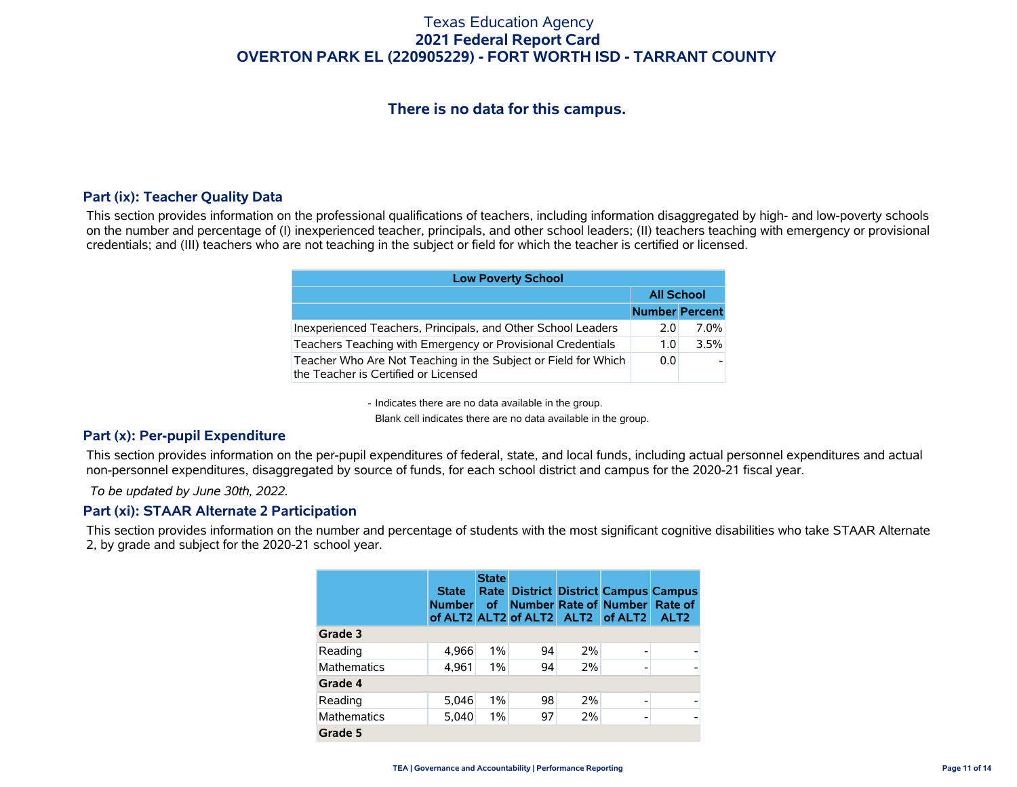# **There is no data for this campus.**

### **Part (ix): Teacher Quality Data**

This section provides information on the professional qualifications of teachers, including information disaggregated by high- and low-poverty schools on the number and percentage of (I) inexperienced teacher, principals, and other school leaders; (II) teachers teaching with emergency or provisional credentials; and (III) teachers who are not teaching in the subject or field for which the teacher is certified or licensed.

| <b>Low Poverty School</b>                                                                              |                       |                   |  |  |  |  |  |  |
|--------------------------------------------------------------------------------------------------------|-----------------------|-------------------|--|--|--|--|--|--|
|                                                                                                        |                       | <b>All School</b> |  |  |  |  |  |  |
|                                                                                                        | <b>Number Percent</b> |                   |  |  |  |  |  |  |
| Inexperienced Teachers, Principals, and Other School Leaders                                           | 2.0                   | 7.0%              |  |  |  |  |  |  |
| Teachers Teaching with Emergency or Provisional Credentials                                            | 1.0                   | 3.5%              |  |  |  |  |  |  |
| Teacher Who Are Not Teaching in the Subject or Field for Which<br>the Teacher is Certified or Licensed | 0.0                   |                   |  |  |  |  |  |  |

- Indicates there are no data available in the group.

Blank cell indicates there are no data available in the group.

### **Part (x): Per-pupil Expenditure**

This section provides information on the per-pupil expenditures of federal, state, and local funds, including actual personnel expenditures and actual non-personnel expenditures, disaggregated by source of funds, for each school district and campus for the 2020-21 fiscal year.

 *To be updated by June 30th, 2022.*

### **Part (xi): STAAR Alternate 2 Participation**

This section provides information on the number and percentage of students with the most significant cognitive disabilities who take STAAR Alternate 2, by grade and subject for the 2020-21 school year.

|                    | <b>State</b><br><b>Number</b> | <b>State</b><br><b>of</b> |    |    | <b>Rate District District Campus Campus</b><br>Number Rate of Number Rate of<br>of ALT2 ALT2 of ALT2 ALT2 of ALT2 | ALT <sub>2</sub> |
|--------------------|-------------------------------|---------------------------|----|----|-------------------------------------------------------------------------------------------------------------------|------------------|
| Grade 3            |                               |                           |    |    |                                                                                                                   |                  |
| Reading            | 4,966                         | $1\%$                     | 94 | 2% | $\overline{\phantom{0}}$                                                                                          |                  |
| <b>Mathematics</b> | 4,961                         | $1\%$                     | 94 | 2% |                                                                                                                   |                  |
| Grade 4            |                               |                           |    |    |                                                                                                                   |                  |
| Reading            | 5.046                         | $1\%$                     | 98 | 2% |                                                                                                                   |                  |
| <b>Mathematics</b> | 5,040                         | $1\%$                     | 97 | 2% | $\overline{\phantom{0}}$                                                                                          |                  |
| Grade 5            |                               |                           |    |    |                                                                                                                   |                  |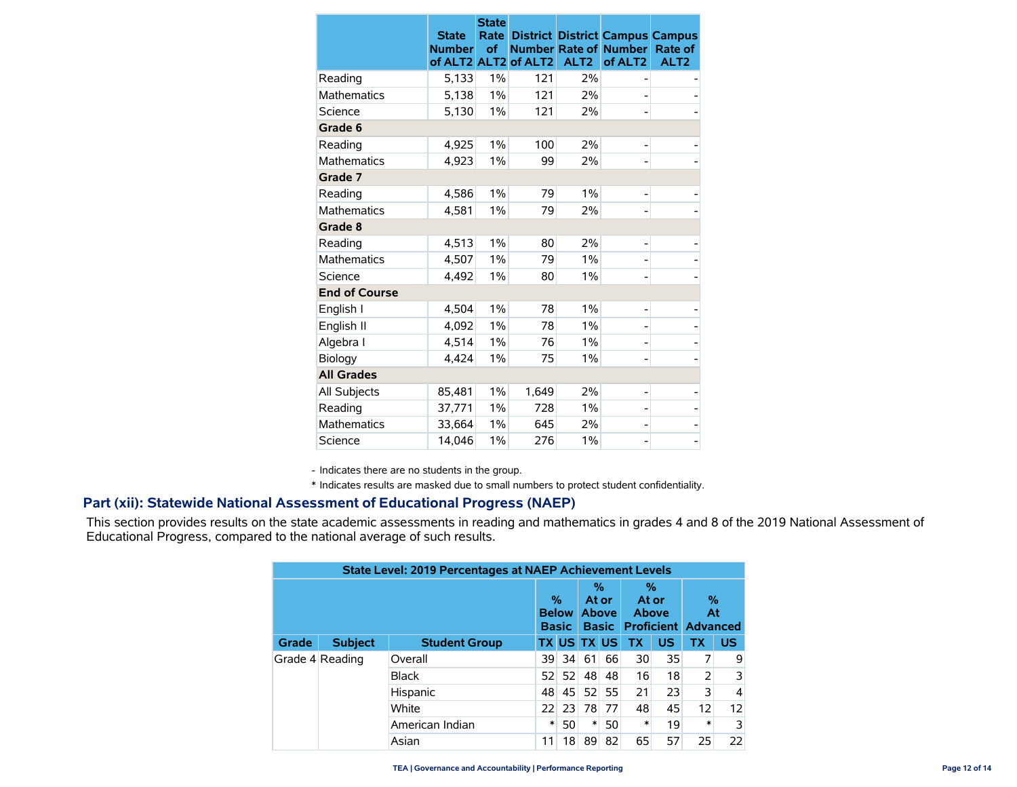|                      | <b>State</b><br><b>Number</b><br>of ALT2 ALT2 | <b>State</b><br>Rate<br>of | <b>Number Rate of</b><br>of ALT <sub>2</sub> | ALT <sub>2</sub> | <b>District District Campus Campus</b><br><b>Number</b><br>of ALT <sub>2</sub> | Rate of<br>ALT <sub>2</sub> |
|----------------------|-----------------------------------------------|----------------------------|----------------------------------------------|------------------|--------------------------------------------------------------------------------|-----------------------------|
| Reading              | 5,133                                         | 1%                         | 121                                          | 2%               |                                                                                |                             |
| <b>Mathematics</b>   | 5,138                                         | 1%                         | 121                                          | 2%               |                                                                                |                             |
| Science              | 5,130                                         | 1%                         | 121                                          | 2%               |                                                                                |                             |
| Grade 6              |                                               |                            |                                              |                  |                                                                                |                             |
| Reading              | 4,925                                         | $1\%$                      | 100                                          | 2%               |                                                                                |                             |
| <b>Mathematics</b>   | 4,923                                         | $1\%$                      | 99                                           | 2%               |                                                                                |                             |
| Grade 7              |                                               |                            |                                              |                  |                                                                                |                             |
| Reading              | 4,586                                         | $1\%$                      | 79                                           | 1%               |                                                                                |                             |
| <b>Mathematics</b>   | 4,581                                         | 1%                         | 79                                           | 2%               |                                                                                |                             |
| Grade 8              |                                               |                            |                                              |                  |                                                                                |                             |
| Reading              | 4,513                                         | $1\%$                      | 80                                           | 2%               |                                                                                |                             |
| <b>Mathematics</b>   | 4,507                                         | 1%                         | 79                                           | 1%               |                                                                                |                             |
| Science              | 4,492                                         | 1%                         | 80                                           | 1%               |                                                                                |                             |
| <b>End of Course</b> |                                               |                            |                                              |                  |                                                                                |                             |
| English I            | 4,504                                         | 1%                         | 78                                           | 1%               |                                                                                |                             |
| English II           | 4,092                                         | 1%                         | 78                                           | 1%               |                                                                                |                             |
| Algebra I            | 4,514                                         | 1%                         | 76                                           | 1%               |                                                                                |                             |
| Biology              | 4.424                                         | $1\%$                      | 75                                           | 1%               |                                                                                |                             |
| <b>All Grades</b>    |                                               |                            |                                              |                  |                                                                                |                             |
| All Subjects         | 85,481                                        | 1%                         | 1,649                                        | 2%               |                                                                                |                             |
| Reading              | 37,771                                        | 1%                         | 728                                          | 1%               |                                                                                |                             |
| <b>Mathematics</b>   | 33,664                                        | 1%                         | 645                                          | 2%               |                                                                                |                             |
| Science              | 14.046                                        | $1\%$                      | 276                                          | 1%               |                                                                                |                             |

- Indicates there are no students in the group.

\* Indicates results are masked due to small numbers to protect student confidentiality.

### **Part (xii): Statewide National Assessment of Educational Progress (NAEP)**

This section provides results on the state academic assessments in reading and mathematics in grades 4 and 8 of the 2019 National Assessment of Educational Progress, compared to the national average of such results.

| <b>State Level: 2019 Percentages at NAEP Achievement Levels</b> |                 |                                   |    |                                            |    |                     |           |                                       |           |           |
|-----------------------------------------------------------------|-----------------|-----------------------------------|----|--------------------------------------------|----|---------------------|-----------|---------------------------------------|-----------|-----------|
|                                                                 |                 | %<br><b>Below</b><br><b>Basic</b> |    | %<br>At or<br><b>Above</b><br><b>Basic</b> |    | %<br>At or<br>Above |           | %<br>At<br><b>Proficient Advanced</b> |           |           |
| Grade                                                           | <b>Subject</b>  | <b>Student Group</b>              |    |                                            |    | <b>TX US TX US</b>  | <b>TX</b> | <b>US</b>                             | <b>TX</b> | <b>US</b> |
|                                                                 | Grade 4 Reading | Overall                           | 39 | -34                                        | 61 | 66                  | 30        | 35                                    |           | 9         |
|                                                                 |                 | <b>Black</b>                      | 52 | 52                                         | 48 | 48                  | 16        | 18                                    | 2         | 3         |
|                                                                 |                 | Hispanic                          | 48 | 45                                         | 52 | 55                  | 21        | 23                                    | 3         | 4         |
|                                                                 |                 | White                             | 22 | 23                                         | 78 | 77                  | 48        | 45                                    | 12        | 12        |
|                                                                 |                 | American Indian                   | ∗  | 50                                         | *  | 50                  | *         | 19                                    | *         | 3         |
|                                                                 |                 | Asian                             | 11 | 18                                         | 89 | 82                  | 65        | 57                                    | 25        | 22        |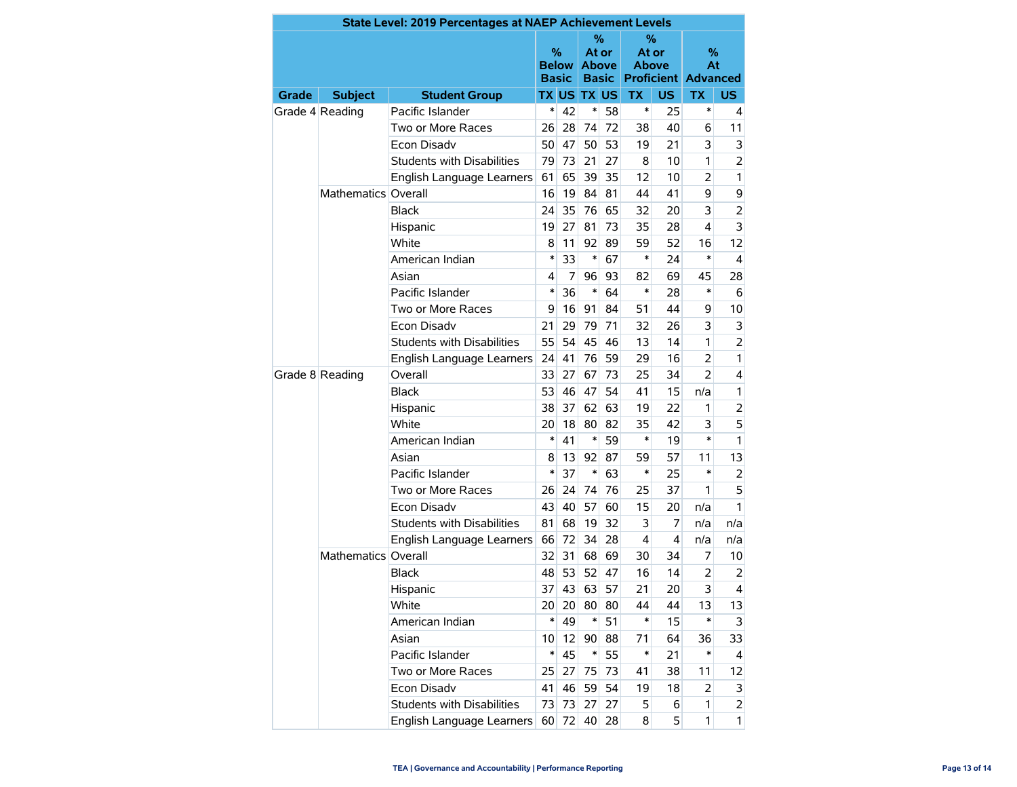|              |                     | State Level: 2019 Percentages at NAEP Achievement Levels |                            |       |                                               |    |                            |           |                                       |                |
|--------------|---------------------|----------------------------------------------------------|----------------------------|-------|-----------------------------------------------|----|----------------------------|-----------|---------------------------------------|----------------|
|              |                     |                                                          | %<br>Below<br><b>Basic</b> |       | $\%$<br>At or<br><b>Above</b><br><b>Basic</b> |    | %<br>At or<br><b>Above</b> |           | %<br>At<br><b>Proficient Advanced</b> |                |
| <b>Grade</b> | <b>Subject</b>      | <b>Student Group</b>                                     |                            |       | <b>TX US TX US</b>                            |    | <b>TX</b>                  | <b>US</b> | <b>TX</b>                             | US.            |
|              | Grade 4 Reading     | Pacific Islander                                         | $\ast$                     | 42    | $\ast$                                        | 58 | $\ast$                     | 25        | *                                     | 4              |
|              |                     | Two or More Races                                        | 26                         | 28    | 74                                            | 72 | 38                         | 40        | 6                                     | 11             |
|              |                     | Econ Disadv                                              |                            | 47    | 50                                            | 53 | 19                         | 21        | 3                                     | 3              |
|              |                     | <b>Students with Disabilities</b>                        | 79                         | 73    | 21                                            | 27 | 8                          | 10        | 1                                     | $\overline{2}$ |
|              |                     | English Language Learners                                |                            | 65    | 39                                            | 35 | 12                         | 10        | $\overline{a}$                        | $\mathbf{1}$   |
|              | Mathematics Overall |                                                          | 16                         | 19    | 84                                            | 81 | 44                         | 41        | 9                                     | 9              |
|              |                     | <b>Black</b>                                             | 24                         | 35    | 76                                            | 65 | 32                         | 20        | 3                                     | $\overline{2}$ |
|              |                     | Hispanic                                                 | 19                         | 27    | 81                                            | 73 | 35                         | 28        | $\overline{4}$                        | 3              |
|              |                     | White                                                    | 8                          | 11    | 92                                            | 89 | 59                         | 52        | 16                                    | 12             |
|              |                     | American Indian                                          | $\ast$                     | 33    | $\ast$                                        | 67 | *                          | 24        | $\ast$                                | $\overline{4}$ |
|              |                     | Asian                                                    | 4                          | 7     | 96                                            | 93 | 82                         | 69        | 45                                    | 28             |
|              |                     | Pacific Islander                                         | $\ast$                     | 36    | $\ast$                                        | 64 | *                          | 28        | $\ast$                                | 6              |
|              |                     | Two or More Races                                        | 9                          | 16    | 91                                            | 84 | 51                         | 44        | 9                                     | 10             |
|              |                     | Econ Disadv                                              |                            | 29    | 79                                            | 71 | 32                         | 26        | 3                                     | 3              |
|              |                     | Students with Disabilities                               |                            | 54    | 45                                            | 46 | 13                         | 14        | 1                                     | $\overline{2}$ |
|              |                     | English Language Learners                                |                            | 41    | 76                                            | 59 | 29                         | 16        | 2                                     | 1              |
|              | Grade 8 Reading     | Overall                                                  | 33                         | 27    | 67                                            | 73 | 25                         | 34        | $\overline{2}$                        | 4              |
|              |                     | <b>Black</b>                                             | 53                         | 46    | 47                                            | 54 | 41                         | 15        | n/a                                   | 1              |
|              |                     | Hispanic                                                 |                            | 37    | 62                                            | 63 | 19                         | 22        | 1                                     | 2              |
|              |                     | White                                                    |                            | 18    | 80                                            | 82 | 35                         | 42        | 3                                     | 5              |
|              |                     | American Indian                                          |                            | 41    | $\ast$                                        | 59 | $\ast$                     | 19        | $\ast$                                | $\mathbf{1}$   |
|              |                     | Asian                                                    | 8                          | 13    | 92                                            | 87 | 59                         | 57        | 11                                    | 13             |
|              |                     | Pacific Islander                                         | $\ast$                     | 37    | $\ast$                                        | 63 | *                          | 25        | $\ast$                                | 2              |
|              |                     | Two or More Races                                        | 26                         | 24    | 74                                            | 76 | 25                         | 37        | 1                                     | 5              |
|              |                     | Econ Disadv                                              | 43                         | 40    | 57                                            | 60 | 15                         | 20        | n/a                                   | 1.             |
|              |                     | <b>Students with Disabilities</b>                        | 81                         | 68    | 19                                            | 32 | 3                          | 7         | n/a                                   | n/a            |
|              |                     | English Language Learners                                | 66                         | 72    | 34                                            | 28 | 4                          | 4         | n/a                                   | n/a            |
|              | Mathematics Overall |                                                          | 32                         | 31    | 68                                            | 69 | 30                         | 34        | 7                                     | 10             |
|              |                     | <b>Black</b>                                             | 48                         | 53    | 52                                            | 47 | 16                         | 14        | $\overline{2}$                        | 2              |
|              |                     | Hispanic                                                 | 37                         | 43    | 63                                            | 57 | 21                         | 20        | 3                                     | 4              |
|              |                     | White                                                    | 20 <sup>°</sup>            | 20    | 80                                            | 80 | 44                         | 44        | 13                                    | 13             |
|              |                     | American Indian                                          | $\ast$                     | 49    | ∗                                             | 51 | $\ast$                     | 15        | *                                     | 3              |
|              |                     | Asian                                                    | 10                         | 12    | 90 <sup>°</sup>                               | 88 | 71                         | 64        | 36                                    | 33             |
|              |                     | Pacific Islander                                         | $\ast$                     | 45    | $\ast$                                        | 55 | $\ast$                     | 21        | *                                     | 4              |
|              |                     | Two or More Races                                        | 25                         | 27    | 75                                            | 73 | 41                         | 38        | 11                                    | 12             |
|              |                     | Econ Disadv                                              | 41                         | 46    | 59                                            | 54 | 19                         | 18        | 2                                     | 3              |
|              |                     | Students with Disabilities                               | 73                         | 73    | 27                                            | 27 | 5                          | 6         | 1                                     | 2              |
|              |                     | English Language Learners                                |                            | 60 72 | 40                                            | 28 | 8                          | 5         | 1                                     | $\mathbf{1}$   |